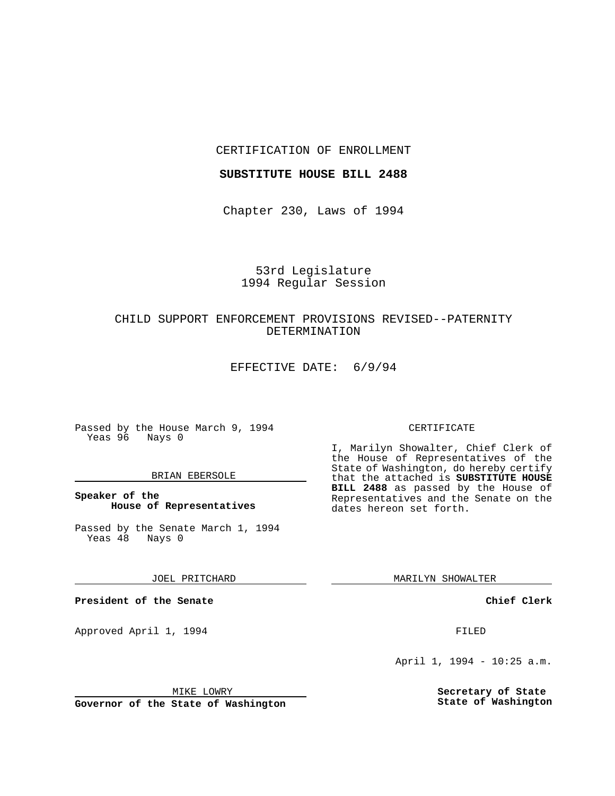### CERTIFICATION OF ENROLLMENT

## **SUBSTITUTE HOUSE BILL 2488**

Chapter 230, Laws of 1994

# 53rd Legislature 1994 Regular Session

# CHILD SUPPORT ENFORCEMENT PROVISIONS REVISED--PATERNITY DETERMINATION

EFFECTIVE DATE: 6/9/94

Passed by the House March 9, 1994 Yeas 96 Nays 0

### BRIAN EBERSOLE

## **Speaker of the House of Representatives**

Passed by the Senate March 1, 1994 Yeas 48 Nays 0

JOEL PRITCHARD

**President of the Senate**

Approved April 1, 1994 **FILED** 

### MIKE LOWRY

**Governor of the State of Washington**

#### CERTIFICATE

I, Marilyn Showalter, Chief Clerk of the House of Representatives of the State of Washington, do hereby certify that the attached is **SUBSTITUTE HOUSE BILL 2488** as passed by the House of Representatives and the Senate on the dates hereon set forth.

MARILYN SHOWALTER

**Chief Clerk**

April 1, 1994 - 10:25 a.m.

**Secretary of State State of Washington**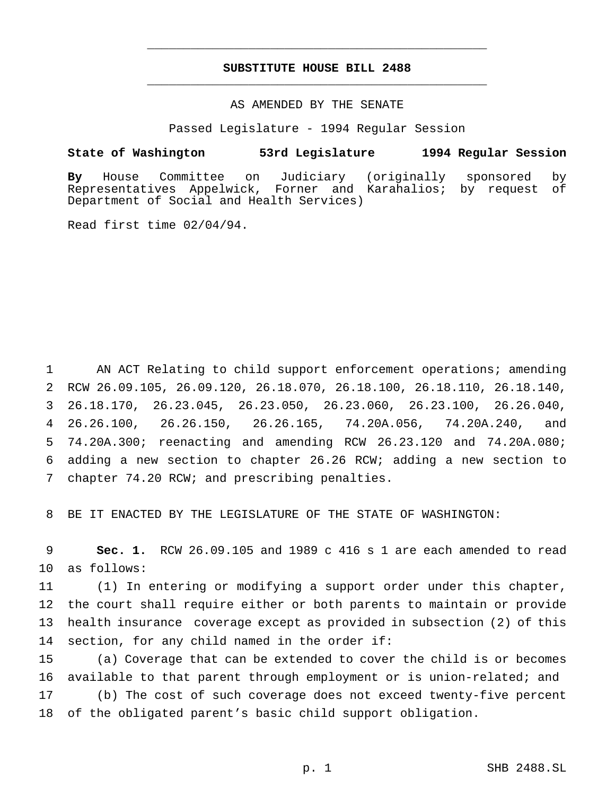## **SUBSTITUTE HOUSE BILL 2488** \_\_\_\_\_\_\_\_\_\_\_\_\_\_\_\_\_\_\_\_\_\_\_\_\_\_\_\_\_\_\_\_\_\_\_\_\_\_\_\_\_\_\_\_\_\_\_

\_\_\_\_\_\_\_\_\_\_\_\_\_\_\_\_\_\_\_\_\_\_\_\_\_\_\_\_\_\_\_\_\_\_\_\_\_\_\_\_\_\_\_\_\_\_\_

## AS AMENDED BY THE SENATE

Passed Legislature - 1994 Regular Session

### **State of Washington 53rd Legislature 1994 Regular Session**

**By** House Committee on Judiciary (originally sponsored by Representatives Appelwick, Forner and Karahalios; by request of Department of Social and Health Services)

Read first time 02/04/94.

 AN ACT Relating to child support enforcement operations; amending RCW 26.09.105, 26.09.120, 26.18.070, 26.18.100, 26.18.110, 26.18.140, 26.18.170, 26.23.045, 26.23.050, 26.23.060, 26.23.100, 26.26.040, 26.26.100, 26.26.150, 26.26.165, 74.20A.056, 74.20A.240, and 74.20A.300; reenacting and amending RCW 26.23.120 and 74.20A.080; adding a new section to chapter 26.26 RCW; adding a new section to chapter 74.20 RCW; and prescribing penalties.

BE IT ENACTED BY THE LEGISLATURE OF THE STATE OF WASHINGTON:

 **Sec. 1.** RCW 26.09.105 and 1989 c 416 s 1 are each amended to read as follows:

 (1) In entering or modifying a support order under this chapter, the court shall require either or both parents to maintain or provide health insurance coverage except as provided in subsection (2) of this section, for any child named in the order if:

 (a) Coverage that can be extended to cover the child is or becomes available to that parent through employment or is union-related; and (b) The cost of such coverage does not exceed twenty-five percent of the obligated parent's basic child support obligation.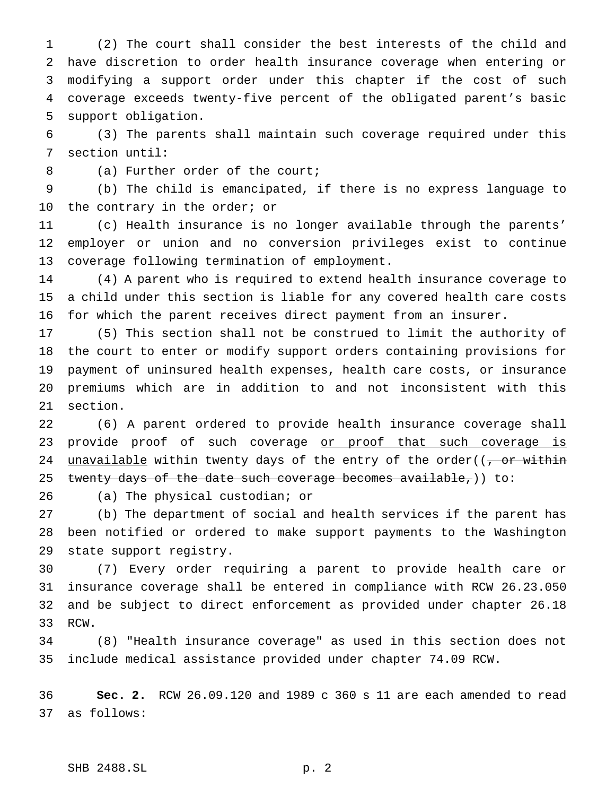(2) The court shall consider the best interests of the child and have discretion to order health insurance coverage when entering or modifying a support order under this chapter if the cost of such coverage exceeds twenty-five percent of the obligated parent's basic support obligation.

 (3) The parents shall maintain such coverage required under this section until:

8 (a) Further order of the court;

 (b) The child is emancipated, if there is no express language to 10 the contrary in the order; or

 (c) Health insurance is no longer available through the parents' employer or union and no conversion privileges exist to continue coverage following termination of employment.

 (4) A parent who is required to extend health insurance coverage to a child under this section is liable for any covered health care costs for which the parent receives direct payment from an insurer.

 (5) This section shall not be construed to limit the authority of the court to enter or modify support orders containing provisions for payment of uninsured health expenses, health care costs, or insurance premiums which are in addition to and not inconsistent with this section.

 (6) A parent ordered to provide health insurance coverage shall 23 provide proof of such coverage or proof that such coverage is 24 unavailable within twenty days of the entry of the order( $(-\sigma r + \sigma)$ 25 twenty days of the date such coverage becomes available,)) to:

(a) The physical custodian; or

 (b) The department of social and health services if the parent has been notified or ordered to make support payments to the Washington state support registry.

 (7) Every order requiring a parent to provide health care or insurance coverage shall be entered in compliance with RCW 26.23.050 and be subject to direct enforcement as provided under chapter 26.18 RCW.

 (8) "Health insurance coverage" as used in this section does not include medical assistance provided under chapter 74.09 RCW.

 **Sec. 2.** RCW 26.09.120 and 1989 c 360 s 11 are each amended to read as follows: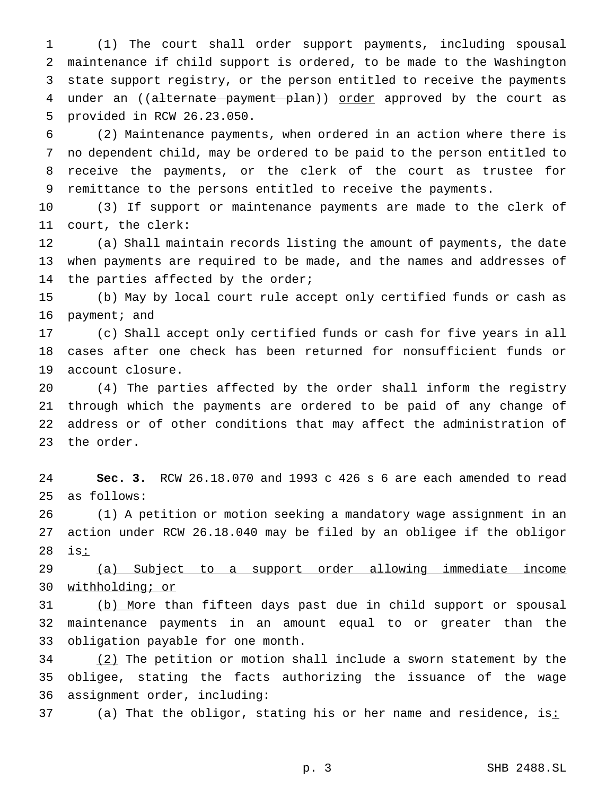(1) The court shall order support payments, including spousal maintenance if child support is ordered, to be made to the Washington state support registry, or the person entitled to receive the payments 4 under an ((alternate payment plan)) order approved by the court as provided in RCW 26.23.050.

 (2) Maintenance payments, when ordered in an action where there is no dependent child, may be ordered to be paid to the person entitled to receive the payments, or the clerk of the court as trustee for remittance to the persons entitled to receive the payments.

 (3) If support or maintenance payments are made to the clerk of court, the clerk:

 (a) Shall maintain records listing the amount of payments, the date when payments are required to be made, and the names and addresses of 14 the parties affected by the order;

 (b) May by local court rule accept only certified funds or cash as payment; and

 (c) Shall accept only certified funds or cash for five years in all cases after one check has been returned for nonsufficient funds or account closure.

 (4) The parties affected by the order shall inform the registry through which the payments are ordered to be paid of any change of address or of other conditions that may affect the administration of the order.

 **Sec. 3.** RCW 26.18.070 and 1993 c 426 s 6 are each amended to read as follows:

 (1) A petition or motion seeking a mandatory wage assignment in an action under RCW 26.18.040 may be filed by an obligee if the obligor is:

 (a) Subject to a support order allowing immediate income withholding; or

 (b) More than fifteen days past due in child support or spousal maintenance payments in an amount equal to or greater than the obligation payable for one month.

 $\frac{(2)}{2}$  The petition or motion shall include a sworn statement by the obligee, stating the facts authorizing the issuance of the wage assignment order, including:

37 (a) That the obligor, stating his or her name and residence, is:

p. 3 SHB 2488.SL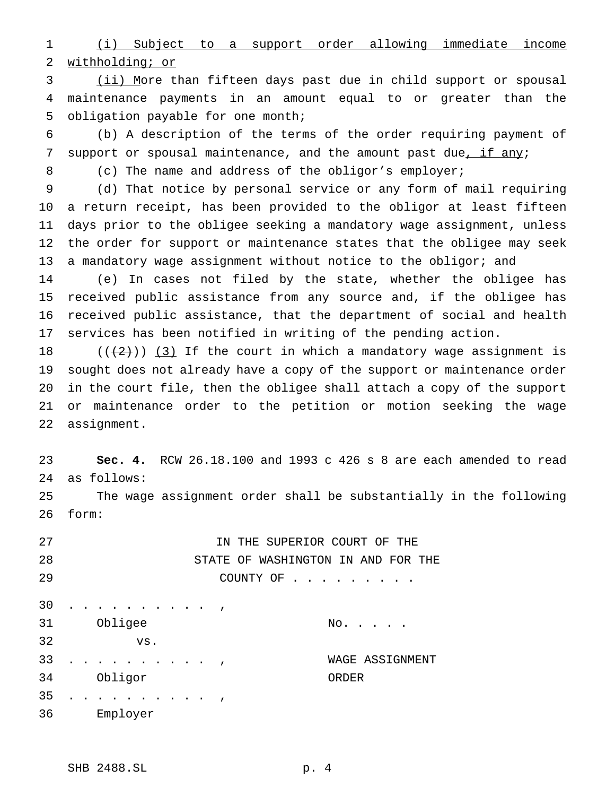(i) Subject to a support order allowing immediate income withholding; or

 (ii) More than fifteen days past due in child support or spousal maintenance payments in an amount equal to or greater than the obligation payable for one month;

 (b) A description of the terms of the order requiring payment of 7 support or spousal maintenance, and the amount past due, if any;

8 (c) The name and address of the obligor's employer;

 (d) That notice by personal service or any form of mail requiring a return receipt, has been provided to the obligor at least fifteen days prior to the obligee seeking a mandatory wage assignment, unless the order for support or maintenance states that the obligee may seek 13 a mandatory wage assignment without notice to the obligor; and

 (e) In cases not filed by the state, whether the obligee has received public assistance from any source and, if the obligee has received public assistance, that the department of social and health services has been notified in writing of the pending action.

 $((+2))$   $(3)$  If the court in which a mandatory wage assignment is sought does not already have a copy of the support or maintenance order in the court file, then the obligee shall attach a copy of the support or maintenance order to the petition or motion seeking the wage assignment.

 **Sec. 4.** RCW 26.18.100 and 1993 c 426 s 8 are each amended to read as follows:

 The wage assignment order shall be substantially in the following form:

 IN THE SUPERIOR COURT OF THE STATE OF WASHINGTON IN AND FOR THE 29 COUNTY OF . . . . . . . . .......... , 31 Obligee No..... vs. .......... , WAGE ASSIGNMENT Obligor ORDER .......... , Employer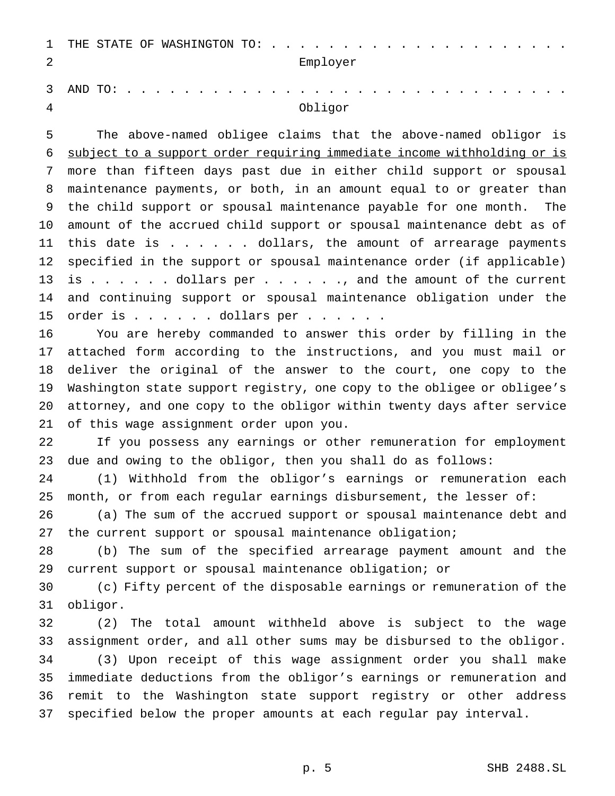| 1              | THE STATE OF WASHINGTON TO:                                             |
|----------------|-------------------------------------------------------------------------|
| 2              | Employer                                                                |
| 3              |                                                                         |
|                | AND TO: .                                                               |
| $\overline{4}$ | Obligor                                                                 |
| 5              | The above-named obligee claims that the above-named obligor is          |
| 6              | subject to a support order requiring immediate income withholding or is |
| 7              | more than fifteen days past due in either child support or spousal      |
| 8              | maintenance payments, or both, in an amount equal to or greater than    |
| 9              | the child support or spousal maintenance payable for one month.<br>The  |
| 10             | amount of the accrued child support or spousal maintenance debt as of   |
| 11             | this date is $\ldots$ dollars, the amount of arrearage payments         |
| 12             | specified in the support or spousal maintenance order (if applicable)   |
| 13             | is dollars per , and the amount of the current                          |
| 14             | and continuing support or spousal maintenance obligation under the      |
| 15             | order is dollars per                                                    |
| 16             | You are hereby commanded to answer this order by filling in the         |
| 17             | attached form according to the instructions, and you must mail or       |
| 18             | deliver the original of the answer to the court, one copy to the        |
| 19             | Washington state support registry, one copy to the obligee or obligee's |
| 20             | attorney, and one copy to the obligor within twenty days after service  |
| 21             | of this wage assignment order upon you.                                 |
| 22             | If you possess any earnings or other remuneration for employment        |
| 23             | due and owing to the obligor, then you shall do as follows:             |
| 24             | Withhold from the obligor's earnings or remuneration each<br>(1)        |
| 25             | month, or from each regular earnings disbursement, the lesser of:       |
| 26             | (a) The sum of the accrued support or spousal maintenance debt and      |
| 27             | the current support or spousal maintenance obligation;                  |

 (b) The sum of the specified arrearage payment amount and the current support or spousal maintenance obligation; or

 (c) Fifty percent of the disposable earnings or remuneration of the obligor.

 (2) The total amount withheld above is subject to the wage assignment order, and all other sums may be disbursed to the obligor. (3) Upon receipt of this wage assignment order you shall make immediate deductions from the obligor's earnings or remuneration and remit to the Washington state support registry or other address specified below the proper amounts at each regular pay interval.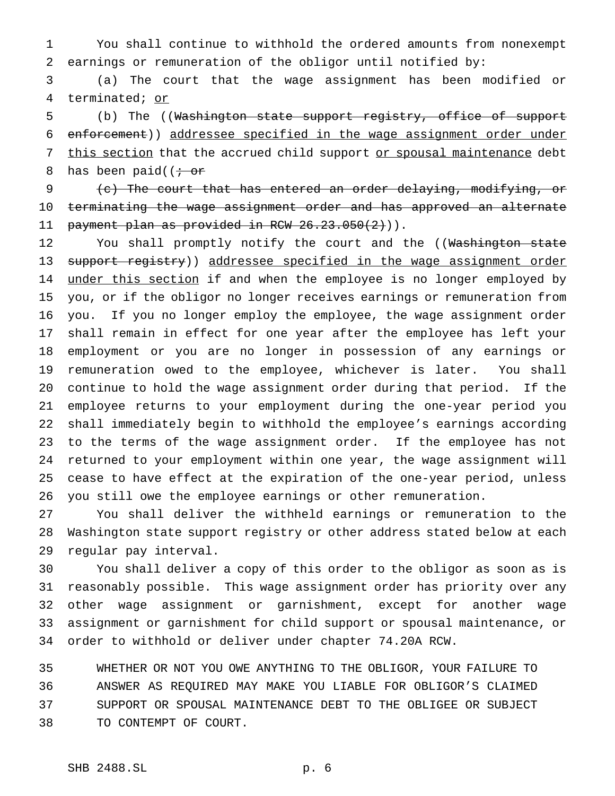You shall continue to withhold the ordered amounts from nonexempt earnings or remuneration of the obligor until notified by:

 (a) The court that the wage assignment has been modified or terminated; or

 (b) The ((Washington state support registry, office of support enforcement)) addressee specified in the wage assignment order under 7 this section that the accrued child support or spousal maintenance debt 8 has been paid( $\overline{t}$  or

 (c) The court that has entered an order delaying, modifying, or terminating the wage assignment order and has approved an alternate 11 payment plan as provided in RCW 26.23.050(2))).

12 You shall promptly notify the court and the ((Washington state 13 support registry)) addressee specified in the wage assignment order 14 under this section if and when the employee is no longer employed by you, or if the obligor no longer receives earnings or remuneration from you. If you no longer employ the employee, the wage assignment order shall remain in effect for one year after the employee has left your employment or you are no longer in possession of any earnings or remuneration owed to the employee, whichever is later. You shall continue to hold the wage assignment order during that period. If the employee returns to your employment during the one-year period you shall immediately begin to withhold the employee's earnings according to the terms of the wage assignment order. If the employee has not returned to your employment within one year, the wage assignment will cease to have effect at the expiration of the one-year period, unless you still owe the employee earnings or other remuneration.

 You shall deliver the withheld earnings or remuneration to the Washington state support registry or other address stated below at each regular pay interval.

 You shall deliver a copy of this order to the obligor as soon as is reasonably possible. This wage assignment order has priority over any other wage assignment or garnishment, except for another wage assignment or garnishment for child support or spousal maintenance, or order to withhold or deliver under chapter 74.20A RCW.

 WHETHER OR NOT YOU OWE ANYTHING TO THE OBLIGOR, YOUR FAILURE TO ANSWER AS REQUIRED MAY MAKE YOU LIABLE FOR OBLIGOR'S CLAIMED SUPPORT OR SPOUSAL MAINTENANCE DEBT TO THE OBLIGEE OR SUBJECT TO CONTEMPT OF COURT.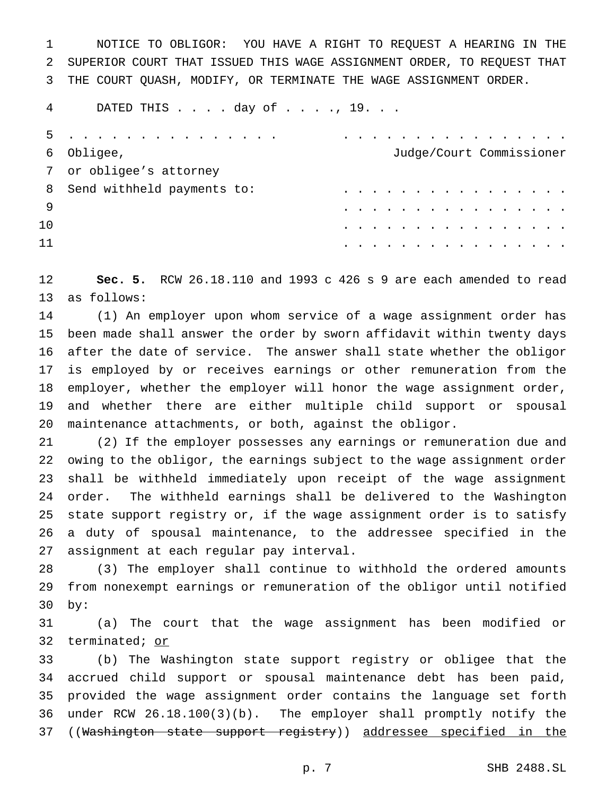NOTICE TO OBLIGOR: YOU HAVE A RIGHT TO REQUEST A HEARING IN THE SUPERIOR COURT THAT ISSUED THIS WAGE ASSIGNMENT ORDER, TO REQUEST THAT THE COURT QUASH, MODIFY, OR TERMINATE THE WAGE ASSIGNMENT ORDER.

DATED THIS . . . . day of . . . ., 19. . .

|    | 5.                         |                          |  |  |  |  |  |  |  |  |  |  |  |  |  |  |
|----|----------------------------|--------------------------|--|--|--|--|--|--|--|--|--|--|--|--|--|--|
| 6  | Obligee,                   | Judge/Court Commissioner |  |  |  |  |  |  |  |  |  |  |  |  |  |  |
|    | 7 or obligee's attorney    |                          |  |  |  |  |  |  |  |  |  |  |  |  |  |  |
| 8  | Send withheld payments to: |                          |  |  |  |  |  |  |  |  |  |  |  |  |  |  |
|    |                            |                          |  |  |  |  |  |  |  |  |  |  |  |  |  |  |
| 10 |                            |                          |  |  |  |  |  |  |  |  |  |  |  |  |  |  |
| 11 |                            |                          |  |  |  |  |  |  |  |  |  |  |  |  |  |  |
|    |                            |                          |  |  |  |  |  |  |  |  |  |  |  |  |  |  |

 **Sec. 5.** RCW 26.18.110 and 1993 c 426 s 9 are each amended to read as follows:

 (1) An employer upon whom service of a wage assignment order has been made shall answer the order by sworn affidavit within twenty days after the date of service. The answer shall state whether the obligor is employed by or receives earnings or other remuneration from the employer, whether the employer will honor the wage assignment order, and whether there are either multiple child support or spousal maintenance attachments, or both, against the obligor.

 (2) If the employer possesses any earnings or remuneration due and owing to the obligor, the earnings subject to the wage assignment order shall be withheld immediately upon receipt of the wage assignment order. The withheld earnings shall be delivered to the Washington state support registry or, if the wage assignment order is to satisfy a duty of spousal maintenance, to the addressee specified in the assignment at each regular pay interval.

 (3) The employer shall continue to withhold the ordered amounts from nonexempt earnings or remuneration of the obligor until notified by:

 (a) The court that the wage assignment has been modified or terminated; or

 (b) The Washington state support registry or obligee that the accrued child support or spousal maintenance debt has been paid, provided the wage assignment order contains the language set forth under RCW 26.18.100(3)(b). The employer shall promptly notify the 37 ((Washington state support registry)) addressee specified in the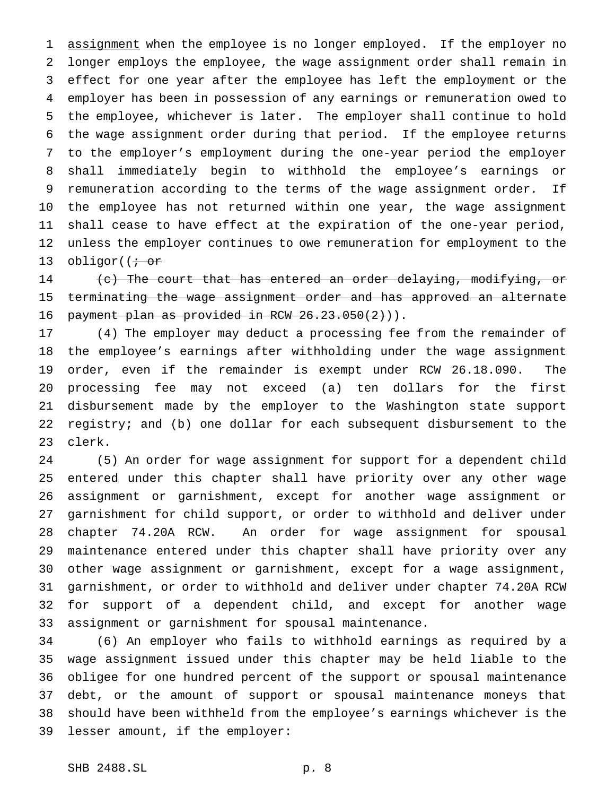1 assignment when the employee is no longer employed. If the employer no longer employs the employee, the wage assignment order shall remain in effect for one year after the employee has left the employment or the employer has been in possession of any earnings or remuneration owed to the employee, whichever is later. The employer shall continue to hold the wage assignment order during that period. If the employee returns to the employer's employment during the one-year period the employer shall immediately begin to withhold the employee's earnings or remuneration according to the terms of the wage assignment order. If the employee has not returned within one year, the wage assignment shall cease to have effect at the expiration of the one-year period, unless the employer continues to owe remuneration for employment to the 13 obligor( $\left(i$  or

 $\left\{\epsilon\right\}$  The court that has entered an order delaying, modifying, or terminating the wage assignment order and has approved an alternate 16 payment plan as provided in RCW 26.23.050(2))).

 (4) The employer may deduct a processing fee from the remainder of the employee's earnings after withholding under the wage assignment order, even if the remainder is exempt under RCW 26.18.090. The processing fee may not exceed (a) ten dollars for the first disbursement made by the employer to the Washington state support registry; and (b) one dollar for each subsequent disbursement to the clerk.

 (5) An order for wage assignment for support for a dependent child entered under this chapter shall have priority over any other wage assignment or garnishment, except for another wage assignment or garnishment for child support, or order to withhold and deliver under chapter 74.20A RCW. An order for wage assignment for spousal maintenance entered under this chapter shall have priority over any other wage assignment or garnishment, except for a wage assignment, garnishment, or order to withhold and deliver under chapter 74.20A RCW for support of a dependent child, and except for another wage assignment or garnishment for spousal maintenance.

 (6) An employer who fails to withhold earnings as required by a wage assignment issued under this chapter may be held liable to the obligee for one hundred percent of the support or spousal maintenance debt, or the amount of support or spousal maintenance moneys that should have been withheld from the employee's earnings whichever is the lesser amount, if the employer: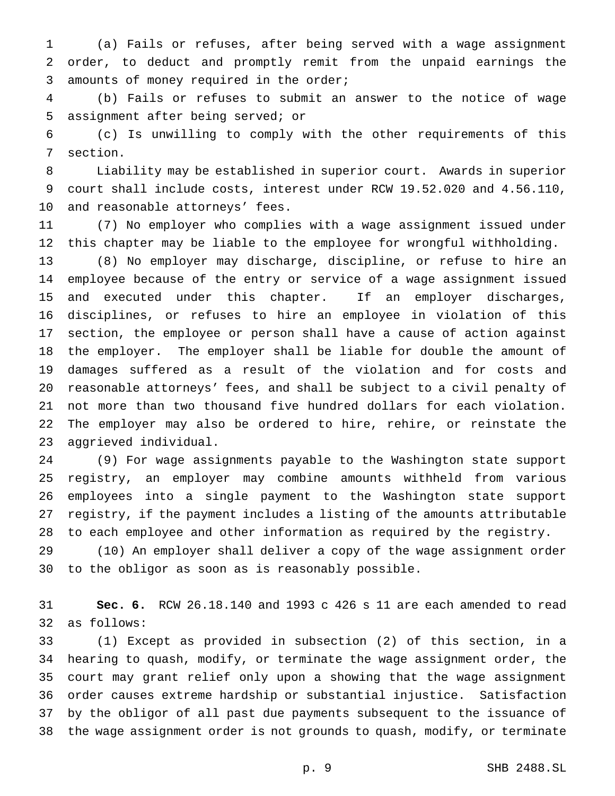(a) Fails or refuses, after being served with a wage assignment order, to deduct and promptly remit from the unpaid earnings the amounts of money required in the order;

 (b) Fails or refuses to submit an answer to the notice of wage assignment after being served; or

 (c) Is unwilling to comply with the other requirements of this section.

 Liability may be established in superior court. Awards in superior court shall include costs, interest under RCW 19.52.020 and 4.56.110, and reasonable attorneys' fees.

 (7) No employer who complies with a wage assignment issued under this chapter may be liable to the employee for wrongful withholding.

 (8) No employer may discharge, discipline, or refuse to hire an employee because of the entry or service of a wage assignment issued and executed under this chapter. If an employer discharges, disciplines, or refuses to hire an employee in violation of this section, the employee or person shall have a cause of action against the employer. The employer shall be liable for double the amount of damages suffered as a result of the violation and for costs and reasonable attorneys' fees, and shall be subject to a civil penalty of not more than two thousand five hundred dollars for each violation. The employer may also be ordered to hire, rehire, or reinstate the aggrieved individual.

 (9) For wage assignments payable to the Washington state support registry, an employer may combine amounts withheld from various employees into a single payment to the Washington state support registry, if the payment includes a listing of the amounts attributable to each employee and other information as required by the registry.

 (10) An employer shall deliver a copy of the wage assignment order to the obligor as soon as is reasonably possible.

 **Sec. 6.** RCW 26.18.140 and 1993 c 426 s 11 are each amended to read as follows:

 (1) Except as provided in subsection (2) of this section, in a hearing to quash, modify, or terminate the wage assignment order, the court may grant relief only upon a showing that the wage assignment order causes extreme hardship or substantial injustice. Satisfaction by the obligor of all past due payments subsequent to the issuance of the wage assignment order is not grounds to quash, modify, or terminate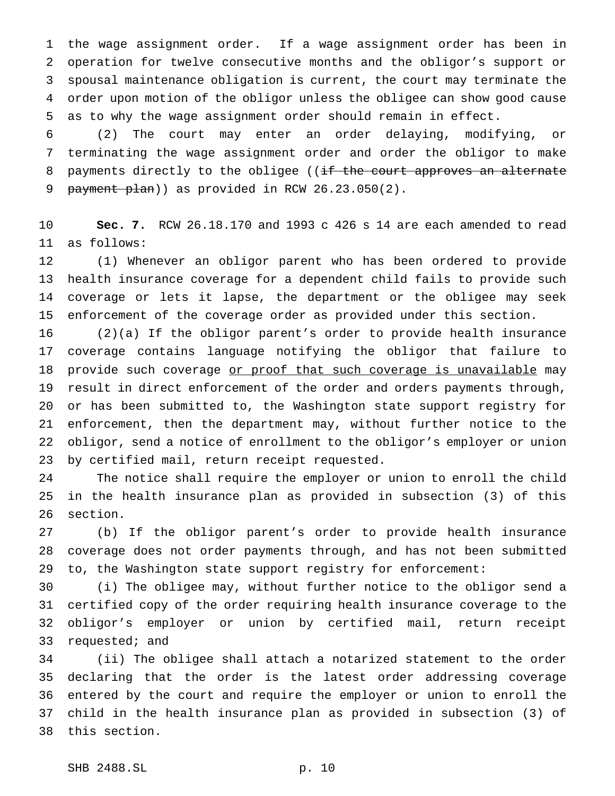the wage assignment order. If a wage assignment order has been in operation for twelve consecutive months and the obligor's support or spousal maintenance obligation is current, the court may terminate the order upon motion of the obligor unless the obligee can show good cause as to why the wage assignment order should remain in effect.

 (2) The court may enter an order delaying, modifying, or terminating the wage assignment order and order the obligor to make 8 payments directly to the obligee ((if the court approves an alternate 9 payment plan)) as provided in RCW 26.23.050(2).

 **Sec. 7.** RCW 26.18.170 and 1993 c 426 s 14 are each amended to read as follows:

 (1) Whenever an obligor parent who has been ordered to provide health insurance coverage for a dependent child fails to provide such coverage or lets it lapse, the department or the obligee may seek enforcement of the coverage order as provided under this section.

 (2)(a) If the obligor parent's order to provide health insurance coverage contains language notifying the obligor that failure to 18 provide such coverage or proof that such coverage is unavailable may result in direct enforcement of the order and orders payments through, or has been submitted to, the Washington state support registry for enforcement, then the department may, without further notice to the obligor, send a notice of enrollment to the obligor's employer or union by certified mail, return receipt requested.

 The notice shall require the employer or union to enroll the child in the health insurance plan as provided in subsection (3) of this section.

 (b) If the obligor parent's order to provide health insurance coverage does not order payments through, and has not been submitted to, the Washington state support registry for enforcement:

 (i) The obligee may, without further notice to the obligor send a certified copy of the order requiring health insurance coverage to the obligor's employer or union by certified mail, return receipt requested; and

 (ii) The obligee shall attach a notarized statement to the order declaring that the order is the latest order addressing coverage entered by the court and require the employer or union to enroll the child in the health insurance plan as provided in subsection (3) of this section.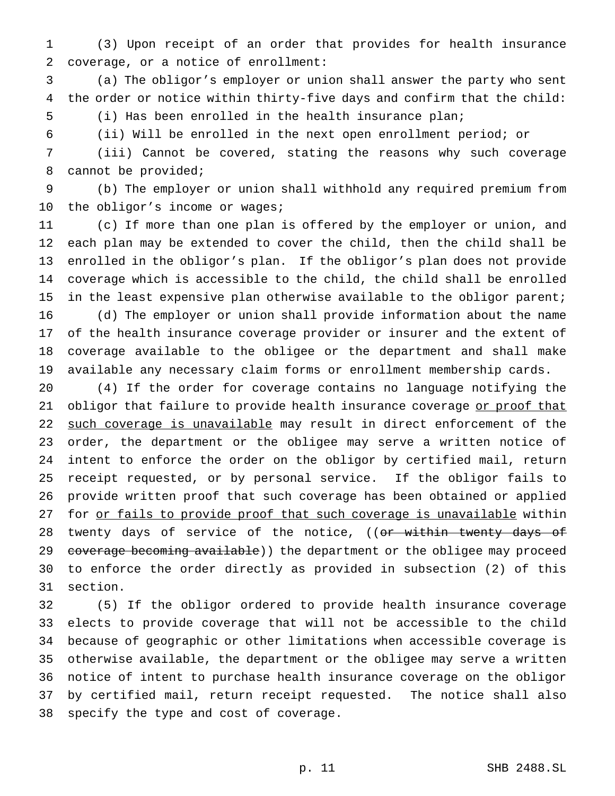(3) Upon receipt of an order that provides for health insurance coverage, or a notice of enrollment:

 (a) The obligor's employer or union shall answer the party who sent the order or notice within thirty-five days and confirm that the child: (i) Has been enrolled in the health insurance plan;

(ii) Will be enrolled in the next open enrollment period; or

 (iii) Cannot be covered, stating the reasons why such coverage cannot be provided;

 (b) The employer or union shall withhold any required premium from 10 the obligor's income or wages;

 (c) If more than one plan is offered by the employer or union, and each plan may be extended to cover the child, then the child shall be enrolled in the obligor's plan. If the obligor's plan does not provide coverage which is accessible to the child, the child shall be enrolled in the least expensive plan otherwise available to the obligor parent; (d) The employer or union shall provide information about the name of the health insurance coverage provider or insurer and the extent of coverage available to the obligee or the department and shall make available any necessary claim forms or enrollment membership cards.

 (4) If the order for coverage contains no language notifying the 21 obligor that failure to provide health insurance coverage or proof that 22 such coverage is unavailable may result in direct enforcement of the order, the department or the obligee may serve a written notice of intent to enforce the order on the obligor by certified mail, return receipt requested, or by personal service. If the obligor fails to provide written proof that such coverage has been obtained or applied 27 for or fails to provide proof that such coverage is unavailable within 28 twenty days of service of the notice, ((or within twenty days of 29 coverage becoming available)) the department or the obligee may proceed to enforce the order directly as provided in subsection (2) of this section.

 (5) If the obligor ordered to provide health insurance coverage elects to provide coverage that will not be accessible to the child because of geographic or other limitations when accessible coverage is otherwise available, the department or the obligee may serve a written notice of intent to purchase health insurance coverage on the obligor by certified mail, return receipt requested. The notice shall also specify the type and cost of coverage.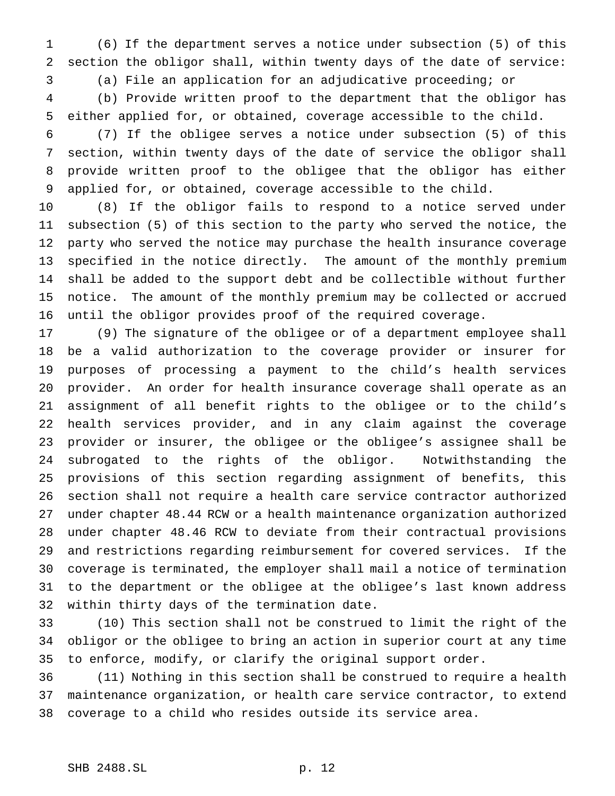(6) If the department serves a notice under subsection (5) of this section the obligor shall, within twenty days of the date of service:

(a) File an application for an adjudicative proceeding; or

 (b) Provide written proof to the department that the obligor has either applied for, or obtained, coverage accessible to the child.

 (7) If the obligee serves a notice under subsection (5) of this section, within twenty days of the date of service the obligor shall provide written proof to the obligee that the obligor has either applied for, or obtained, coverage accessible to the child.

 (8) If the obligor fails to respond to a notice served under subsection (5) of this section to the party who served the notice, the party who served the notice may purchase the health insurance coverage specified in the notice directly. The amount of the monthly premium shall be added to the support debt and be collectible without further notice. The amount of the monthly premium may be collected or accrued until the obligor provides proof of the required coverage.

 (9) The signature of the obligee or of a department employee shall be a valid authorization to the coverage provider or insurer for purposes of processing a payment to the child's health services provider. An order for health insurance coverage shall operate as an assignment of all benefit rights to the obligee or to the child's health services provider, and in any claim against the coverage provider or insurer, the obligee or the obligee's assignee shall be subrogated to the rights of the obligor. Notwithstanding the provisions of this section regarding assignment of benefits, this section shall not require a health care service contractor authorized under chapter 48.44 RCW or a health maintenance organization authorized under chapter 48.46 RCW to deviate from their contractual provisions and restrictions regarding reimbursement for covered services. If the coverage is terminated, the employer shall mail a notice of termination to the department or the obligee at the obligee's last known address within thirty days of the termination date.

 (10) This section shall not be construed to limit the right of the obligor or the obligee to bring an action in superior court at any time to enforce, modify, or clarify the original support order.

 (11) Nothing in this section shall be construed to require a health maintenance organization, or health care service contractor, to extend coverage to a child who resides outside its service area.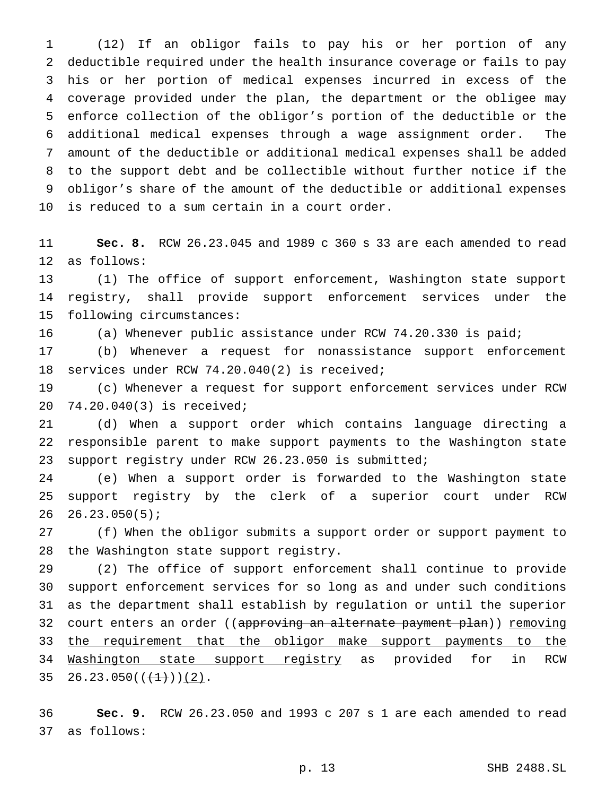(12) If an obligor fails to pay his or her portion of any deductible required under the health insurance coverage or fails to pay his or her portion of medical expenses incurred in excess of the coverage provided under the plan, the department or the obligee may enforce collection of the obligor's portion of the deductible or the additional medical expenses through a wage assignment order. The amount of the deductible or additional medical expenses shall be added to the support debt and be collectible without further notice if the obligor's share of the amount of the deductible or additional expenses is reduced to a sum certain in a court order.

 **Sec. 8.** RCW 26.23.045 and 1989 c 360 s 33 are each amended to read as follows:

 (1) The office of support enforcement, Washington state support registry, shall provide support enforcement services under the following circumstances:

(a) Whenever public assistance under RCW 74.20.330 is paid;

 (b) Whenever a request for nonassistance support enforcement services under RCW 74.20.040(2) is received;

 (c) Whenever a request for support enforcement services under RCW 74.20.040(3) is received;

 (d) When a support order which contains language directing a responsible parent to make support payments to the Washington state support registry under RCW 26.23.050 is submitted;

 (e) When a support order is forwarded to the Washington state support registry by the clerk of a superior court under RCW 26.23.050(5);

 (f) When the obligor submits a support order or support payment to the Washington state support registry.

 (2) The office of support enforcement shall continue to provide support enforcement services for so long as and under such conditions as the department shall establish by regulation or until the superior 32 court enters an order ((approving an alternate payment plan)) removing 33 the requirement that the obligor make support payments to the Washington state support registry as provided for in RCW 35 26.23.050( $(\frac{+1}{+})$ )(2).

 **Sec. 9.** RCW 26.23.050 and 1993 c 207 s 1 are each amended to read as follows: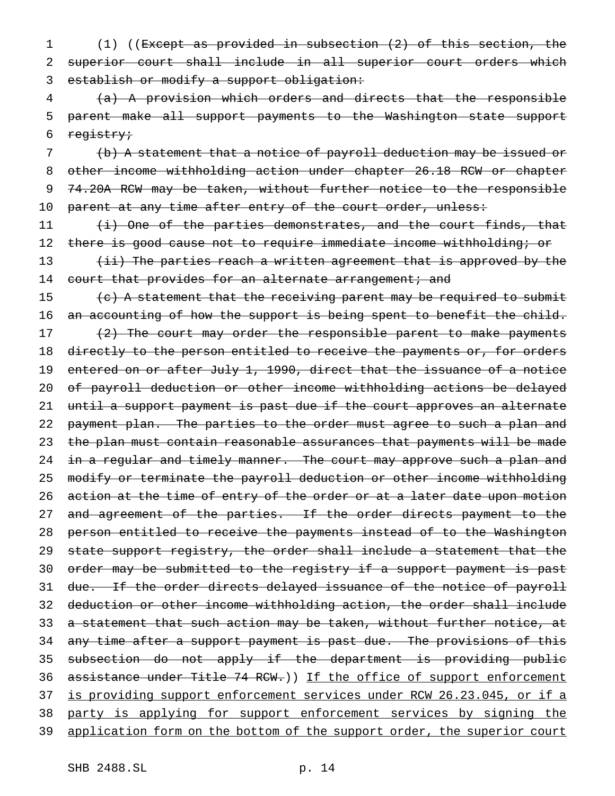1 (1) ((Except as provided in subsection (2) of this section, the 2 superior court shall include in all superior court orders which 3 establish or modify a support obligation:

4 (a) A provision which orders and directs that the responsible 5 parent make all support payments to the Washington state support 6 registry;

7 (b) A statement that a notice of payroll deduction may be issued or 8 other income withholding action under chapter 26.18 RCW or chapter 9 74.20A RCW may be taken, without further notice to the responsible 10 parent at any time after entry of the court order, unless:

11 (i) One of the parties demonstrates, and the court finds, that 12 there is good cause not to require immediate income withholding; or

13 (ii) The parties reach a written agreement that is approved by the 14 court that provides for an alternate arrangement; and

15 (c) A statement that the receiving parent may be required to submit 16 an accounting of how the support is being spent to benefit the child. 17 (2) The court may order the responsible parent to make payments 18 directly to the person entitled to receive the payments or, for orders 19 entered on or after July 1, 1990, direct that the issuance of a notice 20 of payroll deduction or other income withholding actions be delayed 21 until a support payment is past due if the court approves an alternate 22 payment plan. The parties to the order must agree to such a plan and 23 the plan must contain reasonable assurances that payments will be made 24 in a regular and timely manner. The court may approve such a plan and 25 modify or terminate the payroll deduction or other income withholding 26 action at the time of entry of the order or at a later date upon motion 27 and agreement of the parties. If the order directs payment to the 28 person entitled to receive the payments instead of to the Washington 29 state support registry, the order shall include a statement that the 30 order may be submitted to the registry if a support payment is past 31 due. If the order directs delayed issuance of the notice of payroll 32 deduction or other income withholding action, the order shall include 33 a statement that such action may be taken, without further notice, at 34 any time after a support payment is past due. The provisions of this 35 subsection do not apply if the department is providing public 36 assistance under Title 74 RCW.)) If the office of support enforcement 37 is providing support enforcement services under RCW 26.23.045, or if a 38 party is applying for support enforcement services by signing the 39 application form on the bottom of the support order, the superior court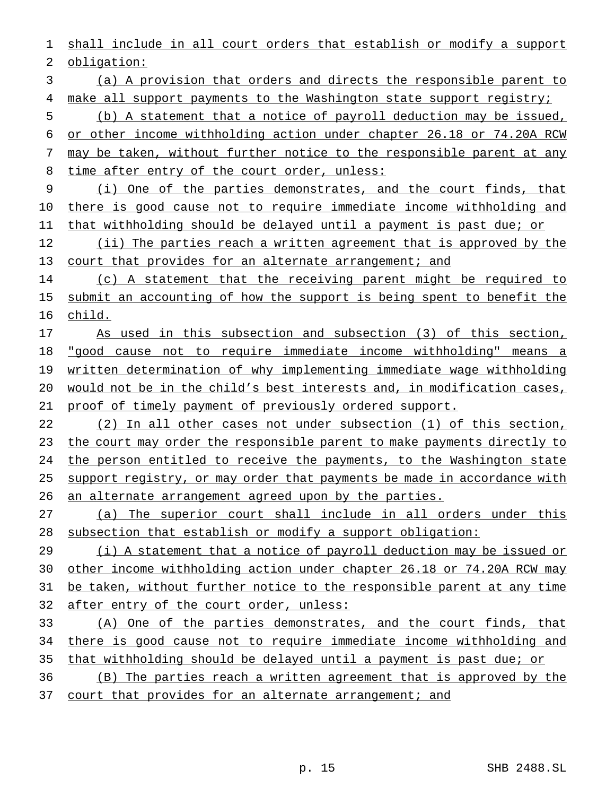1 shall include in all court orders that establish or modify a support obligation:

 (a) A provision that orders and directs the responsible parent to 4 make all support payments to the Washington state support registry;

 (b) A statement that a notice of payroll deduction may be issued, or other income withholding action under chapter 26.18 or 74.20A RCW may be taken, without further notice to the responsible parent at any time after entry of the court order, unless:

 (i) One of the parties demonstrates, and the court finds, that there is good cause not to require immediate income withholding and that withholding should be delayed until a payment is past due; or

12 (ii) The parties reach a written agreement that is approved by the 13 court that provides for an alternate arrangement; and

 (c) A statement that the receiving parent might be required to 15 submit an accounting of how the support is being spent to benefit the child.

 As used in this subsection and subsection (3) of this section, "good cause not to require immediate income withholding" means a 19 written determination of why implementing immediate wage withholding would not be in the child's best interests and, in modification cases, proof of timely payment of previously ordered support.

 (2) In all other cases not under subsection (1) of this section, the court may order the responsible parent to make payments directly to the person entitled to receive the payments, to the Washington state 25 support registry, or may order that payments be made in accordance with an alternate arrangement agreed upon by the parties.

 (a) The superior court shall include in all orders under this subsection that establish or modify a support obligation:

 (i) A statement that a notice of payroll deduction may be issued or other income withholding action under chapter 26.18 or 74.20A RCW may be taken, without further notice to the responsible parent at any time 32 after entry of the court order, unless:

 (A) One of the parties demonstrates, and the court finds, that there is good cause not to require immediate income withholding and that withholding should be delayed until a payment is past due; or (B) The parties reach a written agreement that is approved by the

37 court that provides for an alternate arrangement; and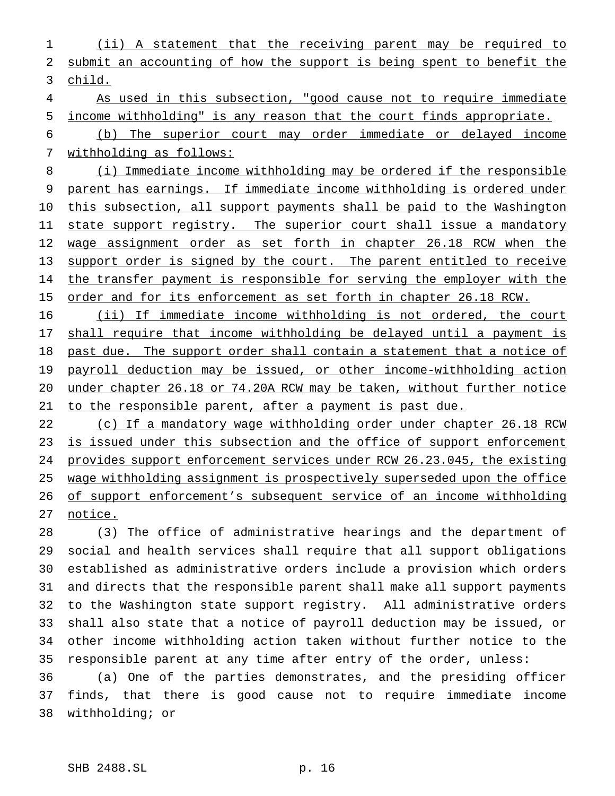(ii) A statement that the receiving parent may be required to submit an accounting of how the support is being spent to benefit the child.

 As used in this subsection, "good cause not to require immediate income withholding" is any reason that the court finds appropriate.

 (b) The superior court may order immediate or delayed income withholding as follows:

8 (i) Immediate income withholding may be ordered if the responsible parent has earnings. If immediate income withholding is ordered under 10 this subsection, all support payments shall be paid to the Washington 11 state support registry. The superior court shall issue a mandatory wage assignment order as set forth in chapter 26.18 RCW when the 13 support order is signed by the court. The parent entitled to receive the transfer payment is responsible for serving the employer with the 15 order and for its enforcement as set forth in chapter 26.18 RCW.

16 (ii) If immediate income withholding is not ordered, the court 17 shall require that income withholding be delayed until a payment is past due. The support order shall contain a statement that a notice of 19 payroll deduction may be issued, or other income-withholding action under chapter 26.18 or 74.20A RCW may be taken, without further notice 21 to the responsible parent, after a payment is past due.

22 (c) If a mandatory wage withholding order under chapter 26.18 RCW 23 is issued under this subsection and the office of support enforcement provides support enforcement services under RCW 26.23.045, the existing 25 wage withholding assignment is prospectively superseded upon the office 26 of support enforcement's subsequent service of an income withholding notice.

 (3) The office of administrative hearings and the department of social and health services shall require that all support obligations established as administrative orders include a provision which orders and directs that the responsible parent shall make all support payments to the Washington state support registry. All administrative orders shall also state that a notice of payroll deduction may be issued, or other income withholding action taken without further notice to the responsible parent at any time after entry of the order, unless:

 (a) One of the parties demonstrates, and the presiding officer finds, that there is good cause not to require immediate income withholding; or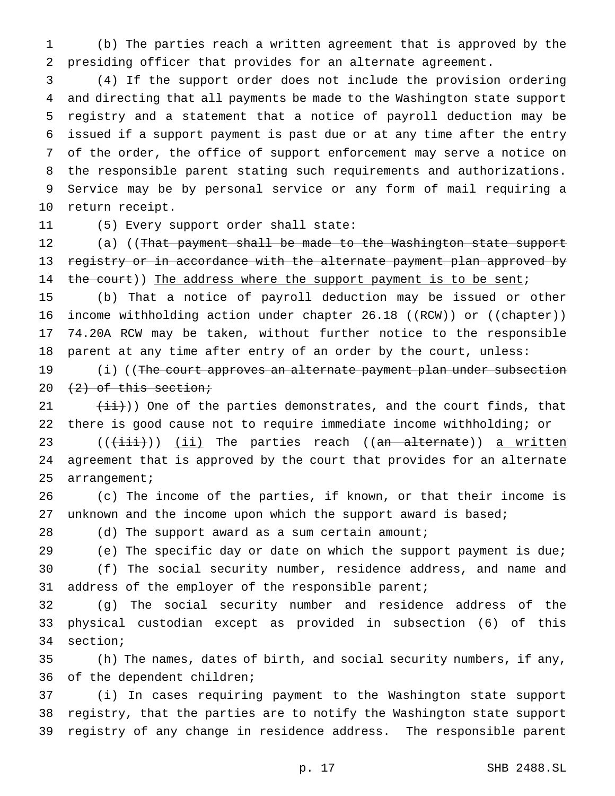(b) The parties reach a written agreement that is approved by the presiding officer that provides for an alternate agreement.

 (4) If the support order does not include the provision ordering and directing that all payments be made to the Washington state support registry and a statement that a notice of payroll deduction may be issued if a support payment is past due or at any time after the entry of the order, the office of support enforcement may serve a notice on the responsible parent stating such requirements and authorizations. Service may be by personal service or any form of mail requiring a return receipt.

(5) Every support order shall state:

12 (a) ((That payment shall be made to the Washington state support 13 registry or in accordance with the alternate payment plan approved by 14 the court)) The address where the support payment is to be sent;

 (b) That a notice of payroll deduction may be issued or other 16 income withholding action under chapter 26.18 ((RCW)) or ((chapter)) 74.20A RCW may be taken, without further notice to the responsible parent at any time after entry of an order by the court, unless:

19 (i) ((The court approves an alternate payment plan under subsection 20  $(2)$  of this section;

 $(i\text{ii})$ ) One of the parties demonstrates, and the court finds, that there is good cause not to require immediate income withholding; or

 $((\overrightarrow{\text{iii}}))$  (ii) The parties reach ((an alternate)) a written agreement that is approved by the court that provides for an alternate arrangement;

 (c) The income of the parties, if known, or that their income is unknown and the income upon which the support award is based;

28 (d) The support award as a sum certain amount;

 (e) The specific day or date on which the support payment is due; (f) The social security number, residence address, and name and address of the employer of the responsible parent;

 (g) The social security number and residence address of the physical custodian except as provided in subsection (6) of this section;

 (h) The names, dates of birth, and social security numbers, if any, of the dependent children;

 (i) In cases requiring payment to the Washington state support registry, that the parties are to notify the Washington state support registry of any change in residence address. The responsible parent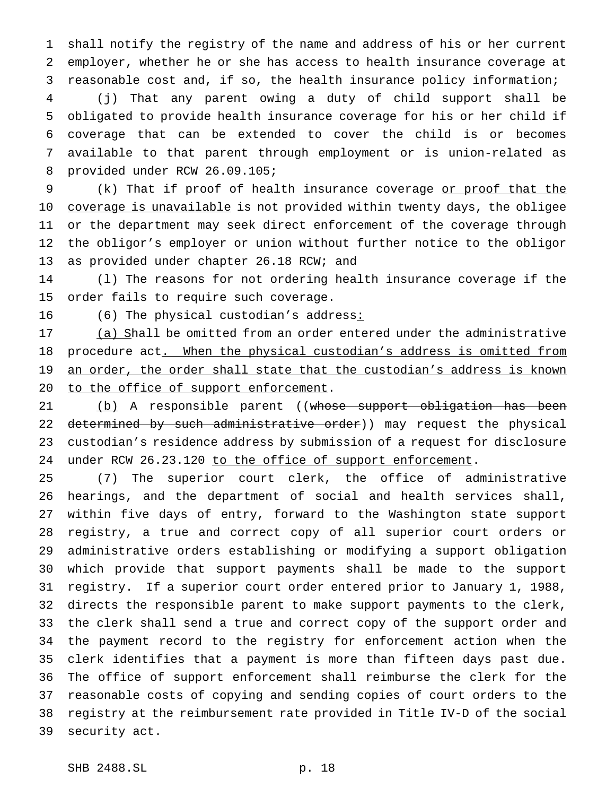shall notify the registry of the name and address of his or her current employer, whether he or she has access to health insurance coverage at reasonable cost and, if so, the health insurance policy information;

 (j) That any parent owing a duty of child support shall be obligated to provide health insurance coverage for his or her child if coverage that can be extended to cover the child is or becomes available to that parent through employment or is union-related as provided under RCW 26.09.105;

 (k) That if proof of health insurance coverage or proof that the 10 coverage is unavailable is not provided within twenty days, the obligee or the department may seek direct enforcement of the coverage through the obligor's employer or union without further notice to the obligor 13 as provided under chapter 26.18 RCW; and

 (l) The reasons for not ordering health insurance coverage if the order fails to require such coverage.

16 (6) The physical custodian's address:

 (a) Shall be omitted from an order entered under the administrative 18 procedure act. When the physical custodian's address is omitted from 19 an order, the order shall state that the custodian's address is known 20 to the office of support enforcement.

21 (b) A responsible parent ((whose support obligation has been 22 determined by such administrative order)) may request the physical custodian's residence address by submission of a request for disclosure 24 under RCW 26.23.120 to the office of support enforcement.

 (7) The superior court clerk, the office of administrative hearings, and the department of social and health services shall, within five days of entry, forward to the Washington state support registry, a true and correct copy of all superior court orders or administrative orders establishing or modifying a support obligation which provide that support payments shall be made to the support registry. If a superior court order entered prior to January 1, 1988, directs the responsible parent to make support payments to the clerk, the clerk shall send a true and correct copy of the support order and the payment record to the registry for enforcement action when the clerk identifies that a payment is more than fifteen days past due. The office of support enforcement shall reimburse the clerk for the reasonable costs of copying and sending copies of court orders to the registry at the reimbursement rate provided in Title IV-D of the social security act.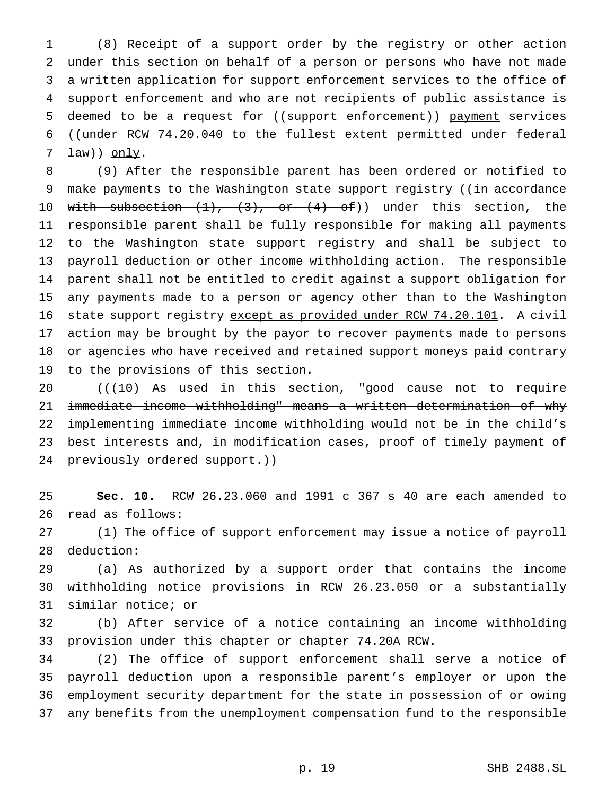(8) Receipt of a support order by the registry or other action 2 under this section on behalf of a person or persons who have not made 3 a written application for support enforcement services to the office of 4 support enforcement and who are not recipients of public assistance is 5 deemed to be a request for ((support enforcement)) payment services ((under RCW 74.20.040 to the fullest extent permitted under federal  $7 \frac{1}{2}$   $\frac{1}{2}$   $\frac{1}{2}$   $\frac{1}{2}$   $\frac{1}{2}$   $\frac{1}{2}$   $\frac{1}{2}$   $\frac{1}{2}$   $\frac{1}{2}$   $\frac{1}{2}$   $\frac{1}{2}$   $\frac{1}{2}$   $\frac{1}{2}$   $\frac{1}{2}$   $\frac{1}{2}$   $\frac{1}{2}$   $\frac{1}{2}$   $\frac{1}{2}$   $\frac{1}{2}$   $\frac{1}{2}$   $\frac{1}{2}$   $\frac{1}{2}$ 

 (9) After the responsible parent has been ordered or notified to 9 make payments to the Washington state support registry ((in accordance 10 with subsection  $(1)$ ,  $(3)$ , or  $(4)$  of)) under this section, the responsible parent shall be fully responsible for making all payments to the Washington state support registry and shall be subject to payroll deduction or other income withholding action. The responsible parent shall not be entitled to credit against a support obligation for any payments made to a person or agency other than to the Washington state support registry except as provided under RCW 74.20.101. A civil action may be brought by the payor to recover payments made to persons or agencies who have received and retained support moneys paid contrary to the provisions of this section.

20 (((10) As used in this section, "good cause not to require immediate income withholding" means a written determination of why implementing immediate income withholding would not be in the child's 23 best interests and, in modification cases, proof of timely payment of 24 previously ordered support.))

 **Sec. 10.** RCW 26.23.060 and 1991 c 367 s 40 are each amended to read as follows:

 (1) The office of support enforcement may issue a notice of payroll deduction:

 (a) As authorized by a support order that contains the income withholding notice provisions in RCW 26.23.050 or a substantially similar notice; or

 (b) After service of a notice containing an income withholding provision under this chapter or chapter 74.20A RCW.

 (2) The office of support enforcement shall serve a notice of payroll deduction upon a responsible parent's employer or upon the employment security department for the state in possession of or owing any benefits from the unemployment compensation fund to the responsible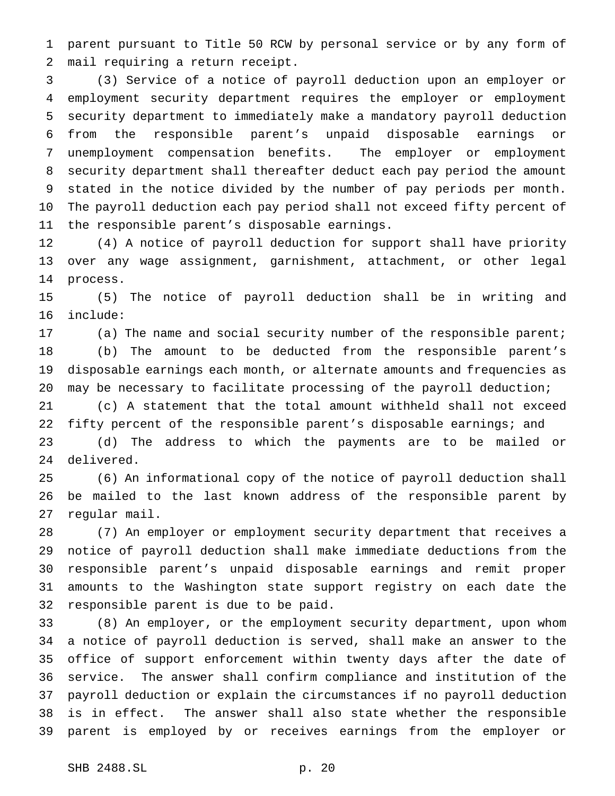parent pursuant to Title 50 RCW by personal service or by any form of mail requiring a return receipt.

 (3) Service of a notice of payroll deduction upon an employer or employment security department requires the employer or employment security department to immediately make a mandatory payroll deduction from the responsible parent's unpaid disposable earnings or unemployment compensation benefits. The employer or employment security department shall thereafter deduct each pay period the amount stated in the notice divided by the number of pay periods per month. The payroll deduction each pay period shall not exceed fifty percent of the responsible parent's disposable earnings.

 (4) A notice of payroll deduction for support shall have priority over any wage assignment, garnishment, attachment, or other legal process.

 (5) The notice of payroll deduction shall be in writing and include:

 (a) The name and social security number of the responsible parent; (b) The amount to be deducted from the responsible parent's disposable earnings each month, or alternate amounts and frequencies as may be necessary to facilitate processing of the payroll deduction;

 (c) A statement that the total amount withheld shall not exceed fifty percent of the responsible parent's disposable earnings; and

 (d) The address to which the payments are to be mailed or delivered.

 (6) An informational copy of the notice of payroll deduction shall be mailed to the last known address of the responsible parent by regular mail.

 (7) An employer or employment security department that receives a notice of payroll deduction shall make immediate deductions from the responsible parent's unpaid disposable earnings and remit proper amounts to the Washington state support registry on each date the responsible parent is due to be paid.

 (8) An employer, or the employment security department, upon whom a notice of payroll deduction is served, shall make an answer to the office of support enforcement within twenty days after the date of service. The answer shall confirm compliance and institution of the payroll deduction or explain the circumstances if no payroll deduction is in effect. The answer shall also state whether the responsible parent is employed by or receives earnings from the employer or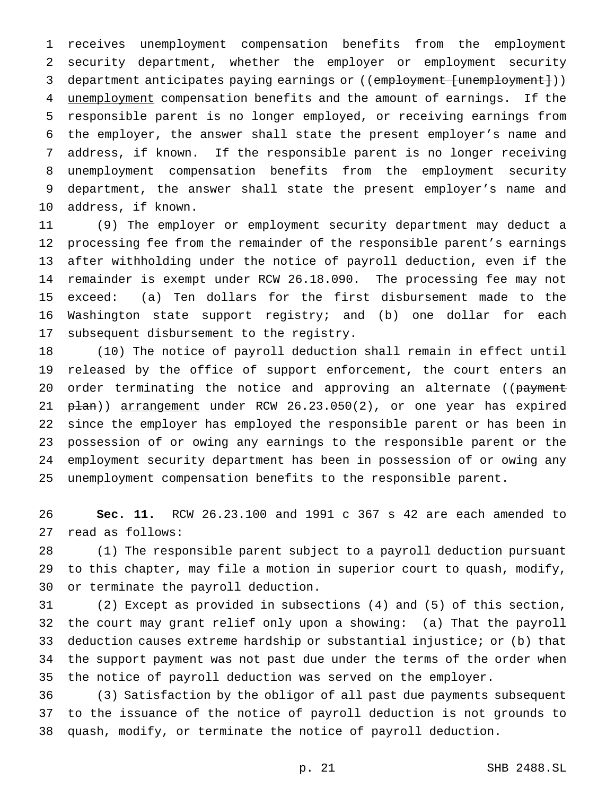receives unemployment compensation benefits from the employment security department, whether the employer or employment security 3 department anticipates paying earnings or ((employment [unemployment])) 4 unemployment compensation benefits and the amount of earnings. If the responsible parent is no longer employed, or receiving earnings from the employer, the answer shall state the present employer's name and address, if known. If the responsible parent is no longer receiving unemployment compensation benefits from the employment security department, the answer shall state the present employer's name and address, if known.

 (9) The employer or employment security department may deduct a processing fee from the remainder of the responsible parent's earnings after withholding under the notice of payroll deduction, even if the remainder is exempt under RCW 26.18.090. The processing fee may not exceed: (a) Ten dollars for the first disbursement made to the Washington state support registry; and (b) one dollar for each subsequent disbursement to the registry.

 (10) The notice of payroll deduction shall remain in effect until released by the office of support enforcement, the court enters an 20 order terminating the notice and approving an alternate ((payment 21 plan)) arrangement under RCW 26.23.050(2), or one year has expired since the employer has employed the responsible parent or has been in possession of or owing any earnings to the responsible parent or the employment security department has been in possession of or owing any unemployment compensation benefits to the responsible parent.

 **Sec. 11.** RCW 26.23.100 and 1991 c 367 s 42 are each amended to read as follows:

 (1) The responsible parent subject to a payroll deduction pursuant to this chapter, may file a motion in superior court to quash, modify, or terminate the payroll deduction.

 (2) Except as provided in subsections (4) and (5) of this section, the court may grant relief only upon a showing: (a) That the payroll deduction causes extreme hardship or substantial injustice; or (b) that the support payment was not past due under the terms of the order when the notice of payroll deduction was served on the employer.

 (3) Satisfaction by the obligor of all past due payments subsequent to the issuance of the notice of payroll deduction is not grounds to quash, modify, or terminate the notice of payroll deduction.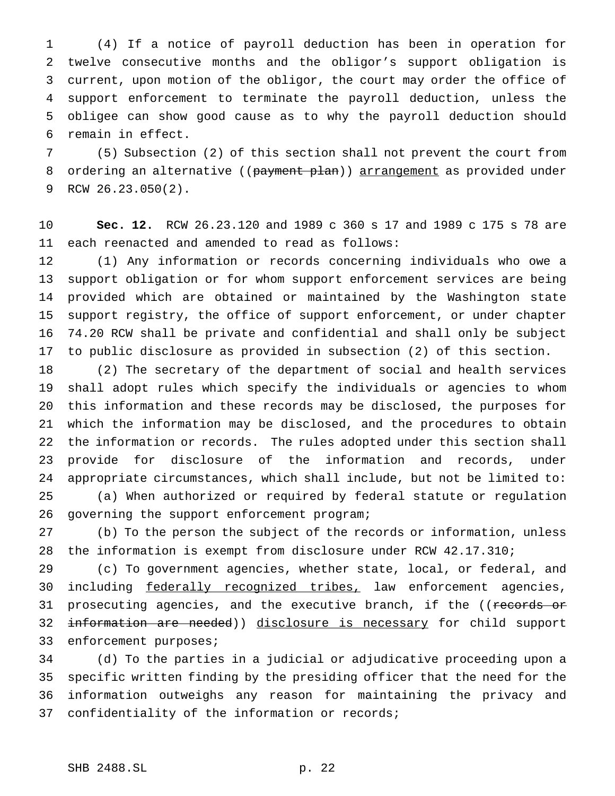(4) If a notice of payroll deduction has been in operation for twelve consecutive months and the obligor's support obligation is current, upon motion of the obligor, the court may order the office of support enforcement to terminate the payroll deduction, unless the obligee can show good cause as to why the payroll deduction should remain in effect.

 (5) Subsection (2) of this section shall not prevent the court from 8 ordering an alternative ((payment plan)) arrangement as provided under RCW 26.23.050(2).

 **Sec. 12.** RCW 26.23.120 and 1989 c 360 s 17 and 1989 c 175 s 78 are each reenacted and amended to read as follows:

 (1) Any information or records concerning individuals who owe a support obligation or for whom support enforcement services are being provided which are obtained or maintained by the Washington state support registry, the office of support enforcement, or under chapter 74.20 RCW shall be private and confidential and shall only be subject to public disclosure as provided in subsection (2) of this section.

 (2) The secretary of the department of social and health services shall adopt rules which specify the individuals or agencies to whom this information and these records may be disclosed, the purposes for which the information may be disclosed, and the procedures to obtain the information or records. The rules adopted under this section shall provide for disclosure of the information and records, under appropriate circumstances, which shall include, but not be limited to: (a) When authorized or required by federal statute or regulation

governing the support enforcement program;

 (b) To the person the subject of the records or information, unless the information is exempt from disclosure under RCW 42.17.310;

 (c) To government agencies, whether state, local, or federal, and 30 including federally recognized tribes, law enforcement agencies, 31 prosecuting agencies, and the executive branch, if the ((records or 32 information are needed)) disclosure is necessary for child support enforcement purposes;

 (d) To the parties in a judicial or adjudicative proceeding upon a specific written finding by the presiding officer that the need for the information outweighs any reason for maintaining the privacy and confidentiality of the information or records;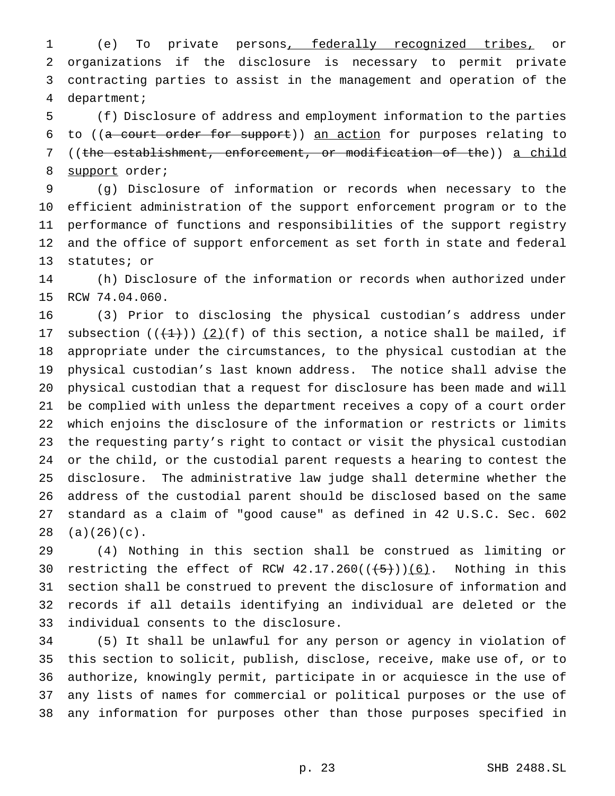(e) To private persons, federally recognized tribes, or organizations if the disclosure is necessary to permit private contracting parties to assist in the management and operation of the department;

 (f) Disclosure of address and employment information to the parties to ((a court order for support)) an action for purposes relating to ((the establishment, enforcement, or modification of the)) a child 8 support order;

 (g) Disclosure of information or records when necessary to the efficient administration of the support enforcement program or to the performance of functions and responsibilities of the support registry and the office of support enforcement as set forth in state and federal statutes; or

 (h) Disclosure of the information or records when authorized under RCW 74.04.060.

 (3) Prior to disclosing the physical custodian's address under 17 subsection  $((+1))$   $(2)(f)$  of this section, a notice shall be mailed, if appropriate under the circumstances, to the physical custodian at the physical custodian's last known address. The notice shall advise the physical custodian that a request for disclosure has been made and will be complied with unless the department receives a copy of a court order which enjoins the disclosure of the information or restricts or limits the requesting party's right to contact or visit the physical custodian or the child, or the custodial parent requests a hearing to contest the disclosure. The administrative law judge shall determine whether the address of the custodial parent should be disclosed based on the same standard as a claim of "good cause" as defined in 42 U.S.C. Sec. 602 (a)(26)(c).

 (4) Nothing in this section shall be construed as limiting or 30 restricting the effect of RCW  $42.17.260((\overline{5}))(\overline{6})$ . Nothing in this section shall be construed to prevent the disclosure of information and records if all details identifying an individual are deleted or the individual consents to the disclosure.

 (5) It shall be unlawful for any person or agency in violation of this section to solicit, publish, disclose, receive, make use of, or to authorize, knowingly permit, participate in or acquiesce in the use of any lists of names for commercial or political purposes or the use of any information for purposes other than those purposes specified in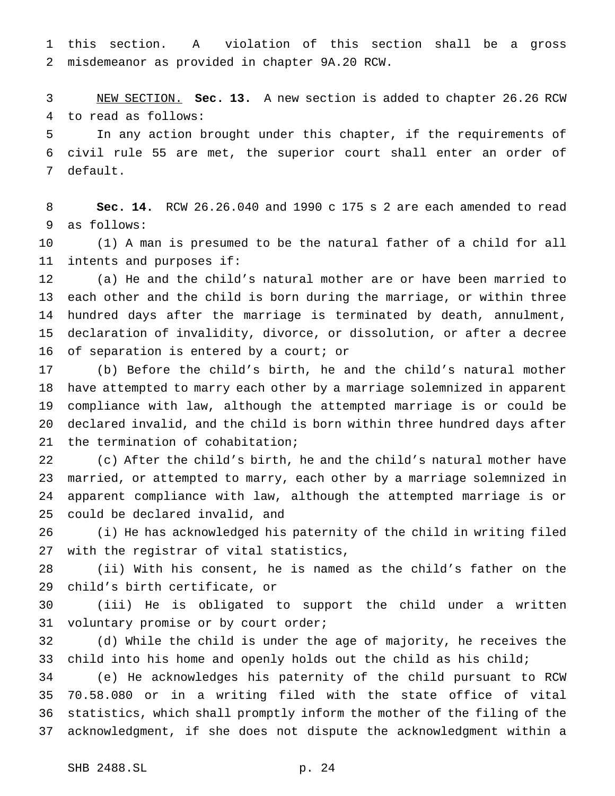this section. A violation of this section shall be a gross misdemeanor as provided in chapter 9A.20 RCW.

 NEW SECTION. **Sec. 13.** A new section is added to chapter 26.26 RCW to read as follows:

 In any action brought under this chapter, if the requirements of civil rule 55 are met, the superior court shall enter an order of default.

 **Sec. 14.** RCW 26.26.040 and 1990 c 175 s 2 are each amended to read as follows:

 (1) A man is presumed to be the natural father of a child for all intents and purposes if:

 (a) He and the child's natural mother are or have been married to each other and the child is born during the marriage, or within three hundred days after the marriage is terminated by death, annulment, declaration of invalidity, divorce, or dissolution, or after a decree 16 of separation is entered by a court; or

 (b) Before the child's birth, he and the child's natural mother have attempted to marry each other by a marriage solemnized in apparent compliance with law, although the attempted marriage is or could be declared invalid, and the child is born within three hundred days after the termination of cohabitation;

 (c) After the child's birth, he and the child's natural mother have married, or attempted to marry, each other by a marriage solemnized in apparent compliance with law, although the attempted marriage is or could be declared invalid, and

 (i) He has acknowledged his paternity of the child in writing filed with the registrar of vital statistics,

 (ii) With his consent, he is named as the child's father on the child's birth certificate, or

 (iii) He is obligated to support the child under a written 31 voluntary promise or by court order;

 (d) While the child is under the age of majority, he receives the 33 child into his home and openly holds out the child as his child;

 (e) He acknowledges his paternity of the child pursuant to RCW 70.58.080 or in a writing filed with the state office of vital statistics, which shall promptly inform the mother of the filing of the acknowledgment, if she does not dispute the acknowledgment within a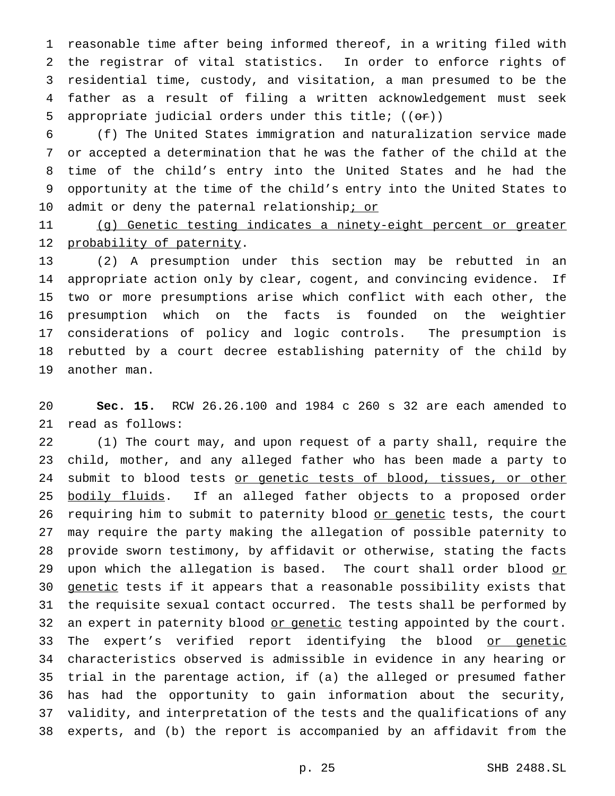reasonable time after being informed thereof, in a writing filed with the registrar of vital statistics. In order to enforce rights of residential time, custody, and visitation, a man presumed to be the father as a result of filing a written acknowledgement must seek 5 appropriate judicial orders under this title;  $((\theta \cdot \mathbf{r}))$ 

 (f) The United States immigration and naturalization service made or accepted a determination that he was the father of the child at the time of the child's entry into the United States and he had the opportunity at the time of the child's entry into the United States to 10 admit or deny the paternal relationship; or

 (g) Genetic testing indicates a ninety-eight percent or greater 12 probability of paternity.

 (2) A presumption under this section may be rebutted in an appropriate action only by clear, cogent, and convincing evidence. If two or more presumptions arise which conflict with each other, the presumption which on the facts is founded on the weightier considerations of policy and logic controls. The presumption is rebutted by a court decree establishing paternity of the child by another man.

 **Sec. 15.** RCW 26.26.100 and 1984 c 260 s 32 are each amended to read as follows:

 (1) The court may, and upon request of a party shall, require the child, mother, and any alleged father who has been made a party to 24 submit to blood tests or genetic tests of blood, tissues, or other 25 bodily fluids. If an alleged father objects to a proposed order 26 requiring him to submit to paternity blood or genetic tests, the court may require the party making the allegation of possible paternity to provide sworn testimony, by affidavit or otherwise, stating the facts 29 upon which the allegation is based. The court shall order blood or 30 genetic tests if it appears that a reasonable possibility exists that the requisite sexual contact occurred. The tests shall be performed by 32 an expert in paternity blood or genetic testing appointed by the court. 33 The expert's verified report identifying the blood or genetic characteristics observed is admissible in evidence in any hearing or trial in the parentage action, if (a) the alleged or presumed father has had the opportunity to gain information about the security, validity, and interpretation of the tests and the qualifications of any experts, and (b) the report is accompanied by an affidavit from the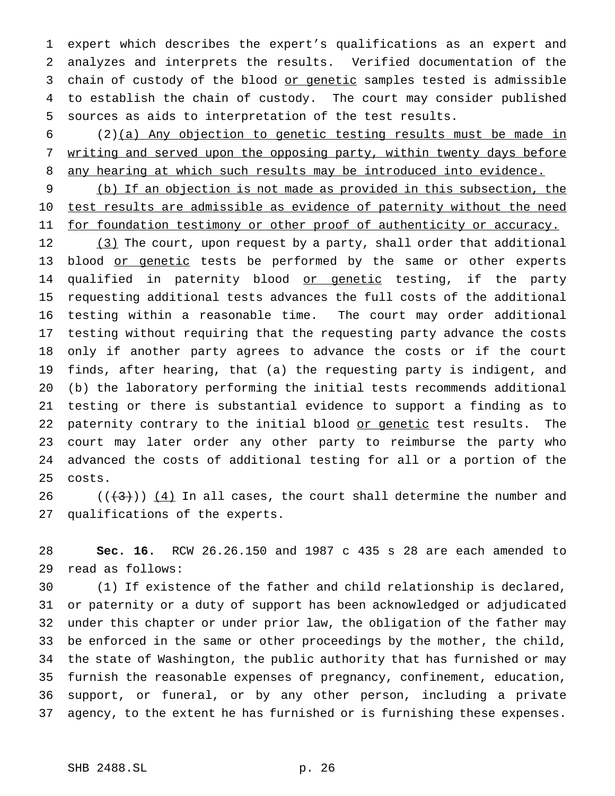expert which describes the expert's qualifications as an expert and analyzes and interprets the results. Verified documentation of the 3 chain of custody of the blood or genetic samples tested is admissible to establish the chain of custody. The court may consider published sources as aids to interpretation of the test results.

 (2)(a) Any objection to genetic testing results must be made in writing and served upon the opposing party, within twenty days before 8 any hearing at which such results may be introduced into evidence.

 (b) If an objection is not made as provided in this subsection, the 10 test results are admissible as evidence of paternity without the need 11 for foundation testimony or other proof of authenticity or accuracy.

12 (3) The court, upon request by a party, shall order that additional 13 blood or genetic tests be performed by the same or other experts 14 qualified in paternity blood or genetic testing, if the party requesting additional tests advances the full costs of the additional testing within a reasonable time. The court may order additional testing without requiring that the requesting party advance the costs only if another party agrees to advance the costs or if the court finds, after hearing, that (a) the requesting party is indigent, and (b) the laboratory performing the initial tests recommends additional testing or there is substantial evidence to support a finding as to 22 paternity contrary to the initial blood or genetic test results. The court may later order any other party to reimburse the party who advanced the costs of additional testing for all or a portion of the costs.

 $((+3))$   $(4)$  In all cases, the court shall determine the number and qualifications of the experts.

 **Sec. 16.** RCW 26.26.150 and 1987 c 435 s 28 are each amended to read as follows:

 (1) If existence of the father and child relationship is declared, or paternity or a duty of support has been acknowledged or adjudicated under this chapter or under prior law, the obligation of the father may be enforced in the same or other proceedings by the mother, the child, the state of Washington, the public authority that has furnished or may furnish the reasonable expenses of pregnancy, confinement, education, support, or funeral, or by any other person, including a private agency, to the extent he has furnished or is furnishing these expenses.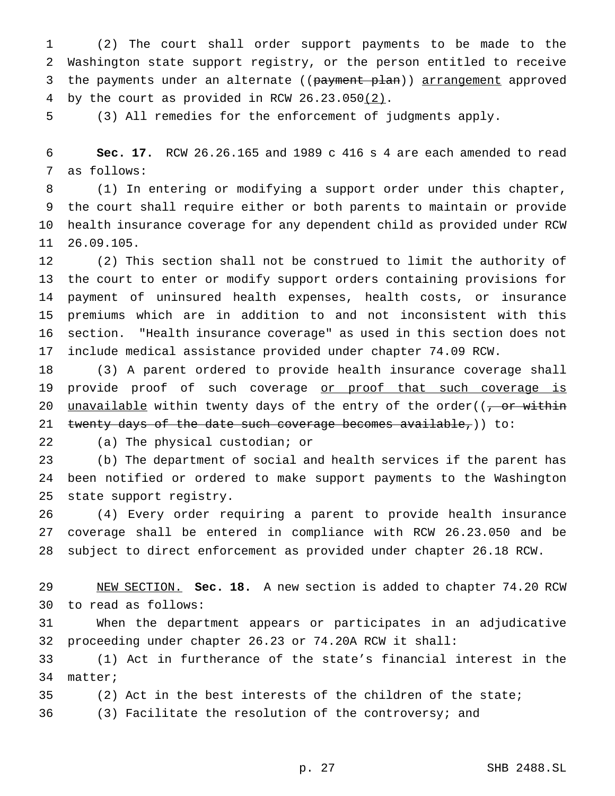(2) The court shall order support payments to be made to the Washington state support registry, or the person entitled to receive 3 the payments under an alternate ((payment plan)) arrangement approved 4 by the court as provided in RCW 26.23.050(2).

(3) All remedies for the enforcement of judgments apply.

 **Sec. 17.** RCW 26.26.165 and 1989 c 416 s 4 are each amended to read as follows:

 (1) In entering or modifying a support order under this chapter, the court shall require either or both parents to maintain or provide health insurance coverage for any dependent child as provided under RCW 26.09.105.

 (2) This section shall not be construed to limit the authority of the court to enter or modify support orders containing provisions for payment of uninsured health expenses, health costs, or insurance premiums which are in addition to and not inconsistent with this section. "Health insurance coverage" as used in this section does not include medical assistance provided under chapter 74.09 RCW.

 (3) A parent ordered to provide health insurance coverage shall 19 provide proof of such coverage or proof that such coverage is 20 unavailable within twenty days of the entry of the order( $\sqrt{7}$  or within 21 twenty days of the date such coverage becomes available,)) to:

(a) The physical custodian; or

 (b) The department of social and health services if the parent has been notified or ordered to make support payments to the Washington state support registry.

 (4) Every order requiring a parent to provide health insurance coverage shall be entered in compliance with RCW 26.23.050 and be subject to direct enforcement as provided under chapter 26.18 RCW.

 NEW SECTION. **Sec. 18.** A new section is added to chapter 74.20 RCW to read as follows:

 When the department appears or participates in an adjudicative proceeding under chapter 26.23 or 74.20A RCW it shall:

 (1) Act in furtherance of the state's financial interest in the matter;

(2) Act in the best interests of the children of the state;

(3) Facilitate the resolution of the controversy; and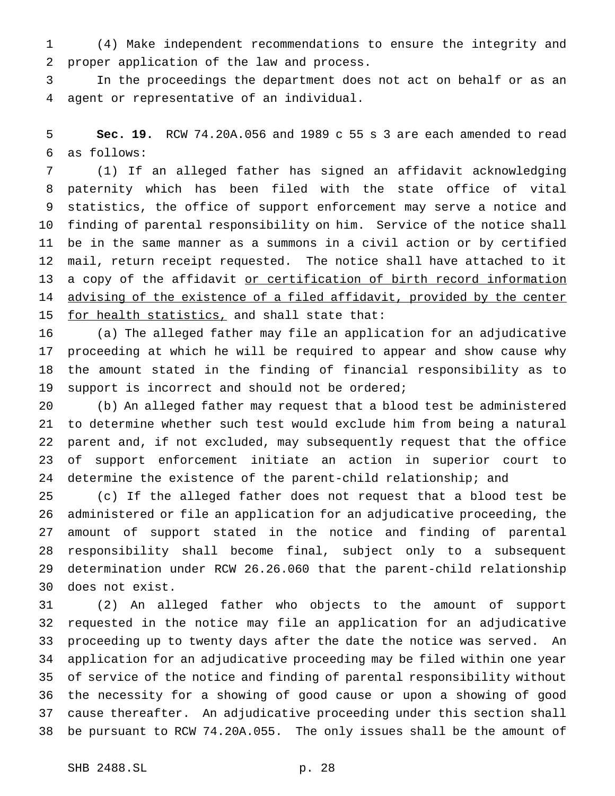(4) Make independent recommendations to ensure the integrity and proper application of the law and process.

 In the proceedings the department does not act on behalf or as an agent or representative of an individual.

 **Sec. 19.** RCW 74.20A.056 and 1989 c 55 s 3 are each amended to read as follows:

 (1) If an alleged father has signed an affidavit acknowledging paternity which has been filed with the state office of vital statistics, the office of support enforcement may serve a notice and finding of parental responsibility on him. Service of the notice shall be in the same manner as a summons in a civil action or by certified mail, return receipt requested. The notice shall have attached to it 13 a copy of the affidavit or certification of birth record information 14 advising of the existence of a filed affidavit, provided by the center 15 for health statistics, and shall state that:

 (a) The alleged father may file an application for an adjudicative proceeding at which he will be required to appear and show cause why the amount stated in the finding of financial responsibility as to support is incorrect and should not be ordered;

 (b) An alleged father may request that a blood test be administered to determine whether such test would exclude him from being a natural parent and, if not excluded, may subsequently request that the office of support enforcement initiate an action in superior court to determine the existence of the parent-child relationship; and

 (c) If the alleged father does not request that a blood test be administered or file an application for an adjudicative proceeding, the amount of support stated in the notice and finding of parental responsibility shall become final, subject only to a subsequent determination under RCW 26.26.060 that the parent-child relationship does not exist.

 (2) An alleged father who objects to the amount of support requested in the notice may file an application for an adjudicative proceeding up to twenty days after the date the notice was served. An application for an adjudicative proceeding may be filed within one year of service of the notice and finding of parental responsibility without the necessity for a showing of good cause or upon a showing of good cause thereafter. An adjudicative proceeding under this section shall be pursuant to RCW 74.20A.055. The only issues shall be the amount of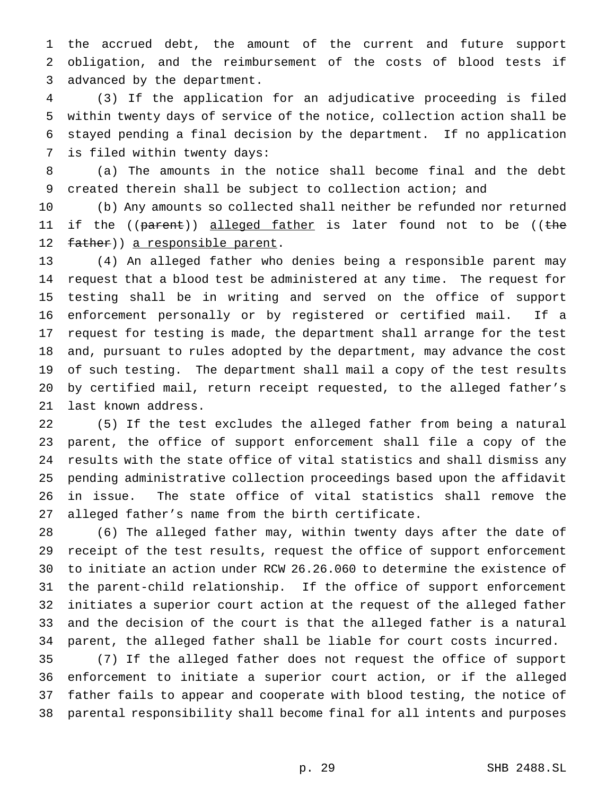the accrued debt, the amount of the current and future support obligation, and the reimbursement of the costs of blood tests if advanced by the department.

 (3) If the application for an adjudicative proceeding is filed within twenty days of service of the notice, collection action shall be stayed pending a final decision by the department. If no application is filed within twenty days:

 (a) The amounts in the notice shall become final and the debt created therein shall be subject to collection action; and

 (b) Any amounts so collected shall neither be refunded nor returned 11 if the ((parent)) alleged father is later found not to be ((the 12 father)) a responsible parent.

 (4) An alleged father who denies being a responsible parent may request that a blood test be administered at any time. The request for testing shall be in writing and served on the office of support enforcement personally or by registered or certified mail. If a request for testing is made, the department shall arrange for the test and, pursuant to rules adopted by the department, may advance the cost of such testing. The department shall mail a copy of the test results by certified mail, return receipt requested, to the alleged father's last known address.

 (5) If the test excludes the alleged father from being a natural parent, the office of support enforcement shall file a copy of the results with the state office of vital statistics and shall dismiss any pending administrative collection proceedings based upon the affidavit in issue. The state office of vital statistics shall remove the alleged father's name from the birth certificate.

 (6) The alleged father may, within twenty days after the date of receipt of the test results, request the office of support enforcement to initiate an action under RCW 26.26.060 to determine the existence of the parent-child relationship. If the office of support enforcement initiates a superior court action at the request of the alleged father and the decision of the court is that the alleged father is a natural parent, the alleged father shall be liable for court costs incurred.

 (7) If the alleged father does not request the office of support enforcement to initiate a superior court action, or if the alleged father fails to appear and cooperate with blood testing, the notice of parental responsibility shall become final for all intents and purposes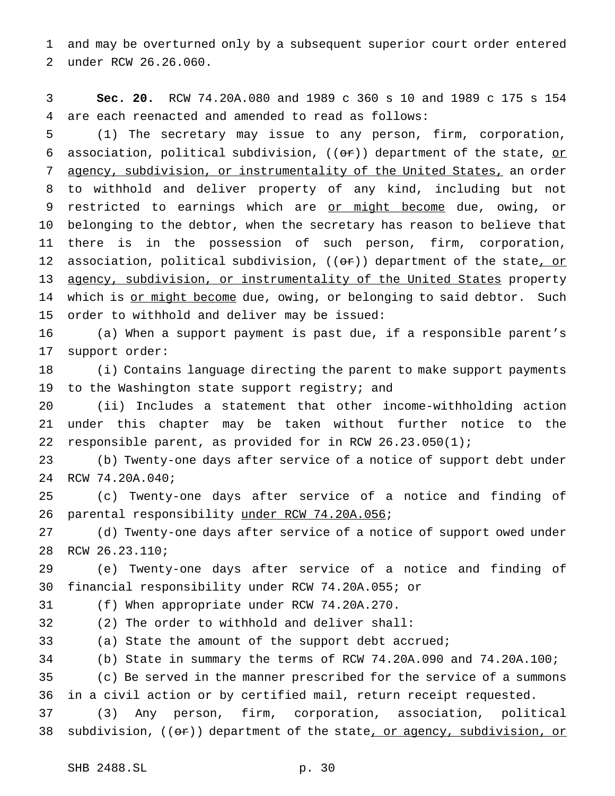and may be overturned only by a subsequent superior court order entered under RCW 26.26.060.

 **Sec. 20.** RCW 74.20A.080 and 1989 c 360 s 10 and 1989 c 175 s 154 are each reenacted and amended to read as follows:

 (1) The secretary may issue to any person, firm, corporation, 6 association, political subdivision,  $((e^*)$ ) department of the state, or agency, subdivision, or instrumentality of the United States, an order to withhold and deliver property of any kind, including but not 9 restricted to earnings which are or might become due, owing, or belonging to the debtor, when the secretary has reason to believe that there is in the possession of such person, firm, corporation, 12 association, political subdivision,  $((\theta \hat{r}))$  department of the state, or 13 agency, subdivision, or instrumentality of the United States property 14 which is or might become due, owing, or belonging to said debtor. Such order to withhold and deliver may be issued:

 (a) When a support payment is past due, if a responsible parent's support order:

 (i) Contains language directing the parent to make support payments to the Washington state support registry; and

 (ii) Includes a statement that other income-withholding action under this chapter may be taken without further notice to the responsible parent, as provided for in RCW 26.23.050(1);

 (b) Twenty-one days after service of a notice of support debt under RCW 74.20A.040;

 (c) Twenty-one days after service of a notice and finding of 26 parental responsibility under RCW 74.20A.056;

 (d) Twenty-one days after service of a notice of support owed under RCW 26.23.110;

 (e) Twenty-one days after service of a notice and finding of financial responsibility under RCW 74.20A.055; or

(f) When appropriate under RCW 74.20A.270.

(2) The order to withhold and deliver shall:

(a) State the amount of the support debt accrued;

(b) State in summary the terms of RCW 74.20A.090 and 74.20A.100;

 (c) Be served in the manner prescribed for the service of a summons in a civil action or by certified mail, return receipt requested.

 (3) Any person, firm, corporation, association, political 38 subdivision,  $((\theta \cdot \tau))$  department of the state, or agency, subdivision, or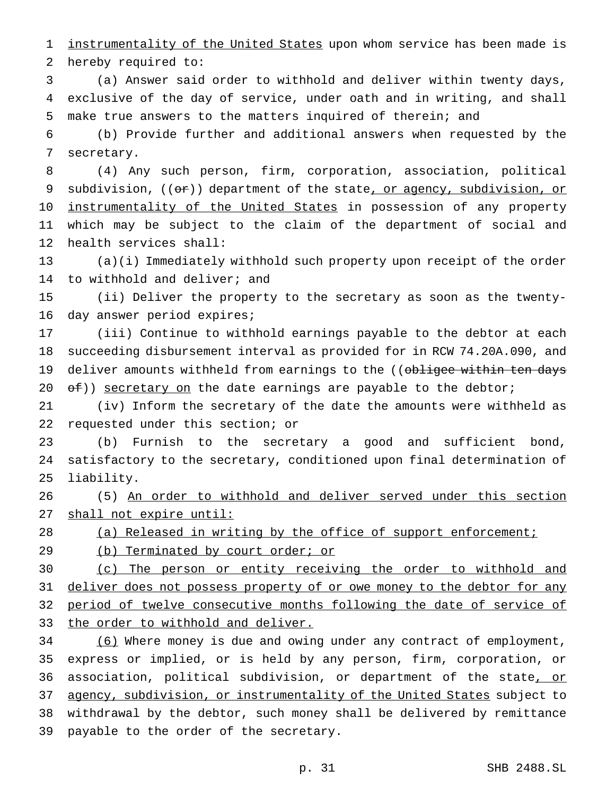1 instrumentality of the United States upon whom service has been made is hereby required to:

 (a) Answer said order to withhold and deliver within twenty days, exclusive of the day of service, under oath and in writing, and shall make true answers to the matters inquired of therein; and

 (b) Provide further and additional answers when requested by the secretary.

 (4) Any such person, firm, corporation, association, political 9 subdivision,  $((\Theta \cdot \mathbf{r}))$  department of the state, or agency, subdivision, or 10 instrumentality of the United States in possession of any property which may be subject to the claim of the department of social and health services shall:

 (a)(i) Immediately withhold such property upon receipt of the order to withhold and deliver; and

 (ii) Deliver the property to the secretary as soon as the twenty-day answer period expires;

 (iii) Continue to withhold earnings payable to the debtor at each succeeding disbursement interval as provided for in RCW 74.20A.090, and 19 deliver amounts withheld from earnings to the ((obligee within ten days of)) secretary on the date earnings are payable to the debtor;

 (iv) Inform the secretary of the date the amounts were withheld as requested under this section; or

 (b) Furnish to the secretary a good and sufficient bond, satisfactory to the secretary, conditioned upon final determination of liability.

 (5) An order to withhold and deliver served under this section 27 shall not expire until:

28 (a) Released in writing by the office of support enforcement;

29 (b) Terminated by court order; or

 (c) The person or entity receiving the order to withhold and 31 deliver does not possess property of or owe money to the debtor for any period of twelve consecutive months following the date of service of the order to withhold and deliver.

 (6) Where money is due and owing under any contract of employment, express or implied, or is held by any person, firm, corporation, or 36 association, political subdivision, or department of the state, or 37 agency, subdivision, or instrumentality of the United States subject to withdrawal by the debtor, such money shall be delivered by remittance payable to the order of the secretary.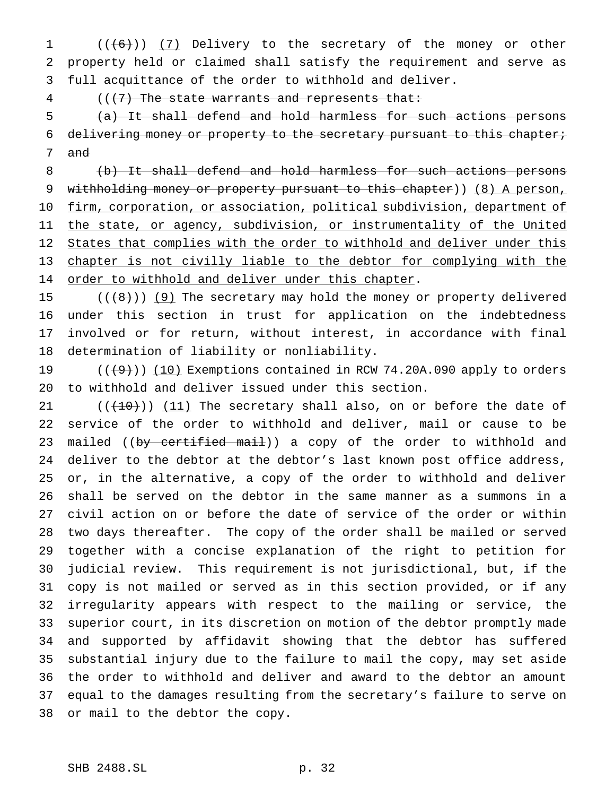1 (((6))) (7) Delivery to the secretary of the money or other property held or claimed shall satisfy the requirement and serve as full acquittance of the order to withhold and deliver.

(( $\{7\}$ ) The state warrants and represents that:

 (a) It shall defend and hold harmless for such actions persons 6 delivering money or property to the secretary pursuant to this chapter; and

 (b) It shall defend and hold harmless for such actions persons 9 withholding money or property pursuant to this chapter)) (8) A person, 10 firm, corporation, or association, political subdivision, department of 11 the state, or agency, subdivision, or instrumentality of the United 12 States that complies with the order to withhold and deliver under this chapter is not civilly liable to the debtor for complying with the order to withhold and deliver under this chapter.

 $((+8))$  (9) The secretary may hold the money or property delivered under this section in trust for application on the indebtedness involved or for return, without interest, in accordance with final determination of liability or nonliability.

19  $((+9))$   $(10)$  Exemptions contained in RCW 74.20A.090 apply to orders to withhold and deliver issued under this section.

 ( $(\overline{+10})$ )  $(11)$  The secretary shall also, on or before the date of service of the order to withhold and deliver, mail or cause to be 23 mailed ((by certified mail)) a copy of the order to withhold and deliver to the debtor at the debtor's last known post office address, or, in the alternative, a copy of the order to withhold and deliver shall be served on the debtor in the same manner as a summons in a civil action on or before the date of service of the order or within two days thereafter. The copy of the order shall be mailed or served together with a concise explanation of the right to petition for judicial review. This requirement is not jurisdictional, but, if the copy is not mailed or served as in this section provided, or if any irregularity appears with respect to the mailing or service, the superior court, in its discretion on motion of the debtor promptly made and supported by affidavit showing that the debtor has suffered substantial injury due to the failure to mail the copy, may set aside the order to withhold and deliver and award to the debtor an amount equal to the damages resulting from the secretary's failure to serve on or mail to the debtor the copy.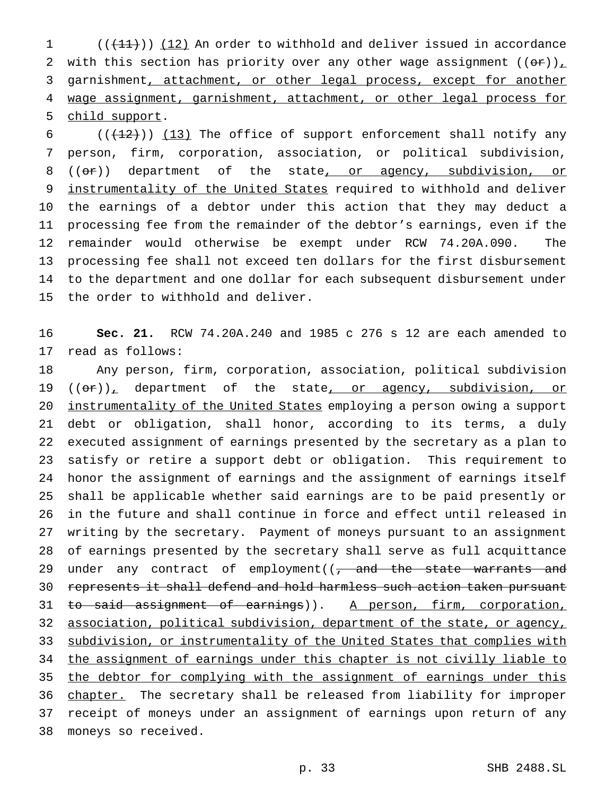1  $((+11))$   $(12)$  An order to withhold and deliver issued in accordance 2 with this section has priority over any other wage assignment  $((\sigma \cdot r))_+$ 3 garnishment, attachment, or other legal process, except for another 4 wage assignment, garnishment, attachment, or other legal process for child support.

 $((+12))$   $(13)$  The office of support enforcement shall notify any person, firm, corporation, association, or political subdivision, 8 ((or)) department of the state<u>, or agency, subdivision, or</u> 9 instrumentality of the United States required to withhold and deliver the earnings of a debtor under this action that they may deduct a processing fee from the remainder of the debtor's earnings, even if the remainder would otherwise be exempt under RCW 74.20A.090. The processing fee shall not exceed ten dollars for the first disbursement to the department and one dollar for each subsequent disbursement under the order to withhold and deliver.

 **Sec. 21.** RCW 74.20A.240 and 1985 c 276 s 12 are each amended to read as follows:

 Any person, firm, corporation, association, political subdivision  $((or))_r$  department of the state, or agency, subdivision, or instrumentality of the United States employing a person owing a support debt or obligation, shall honor, according to its terms, a duly executed assignment of earnings presented by the secretary as a plan to satisfy or retire a support debt or obligation. This requirement to honor the assignment of earnings and the assignment of earnings itself shall be applicable whether said earnings are to be paid presently or in the future and shall continue in force and effect until released in writing by the secretary. Payment of moneys pursuant to an assignment of earnings presented by the secretary shall serve as full acquittance 29 under any contract of employment((, and the state warrants and represents it shall defend and hold harmless such action taken pursuant to said assignment of earnings)). A person, firm, corporation, association, political subdivision, department of the state, or agency, 33 subdivision, or instrumentality of the United States that complies with the assignment of earnings under this chapter is not civilly liable to 35 the debtor for complying with the assignment of earnings under this 36 chapter. The secretary shall be released from liability for improper receipt of moneys under an assignment of earnings upon return of any moneys so received.